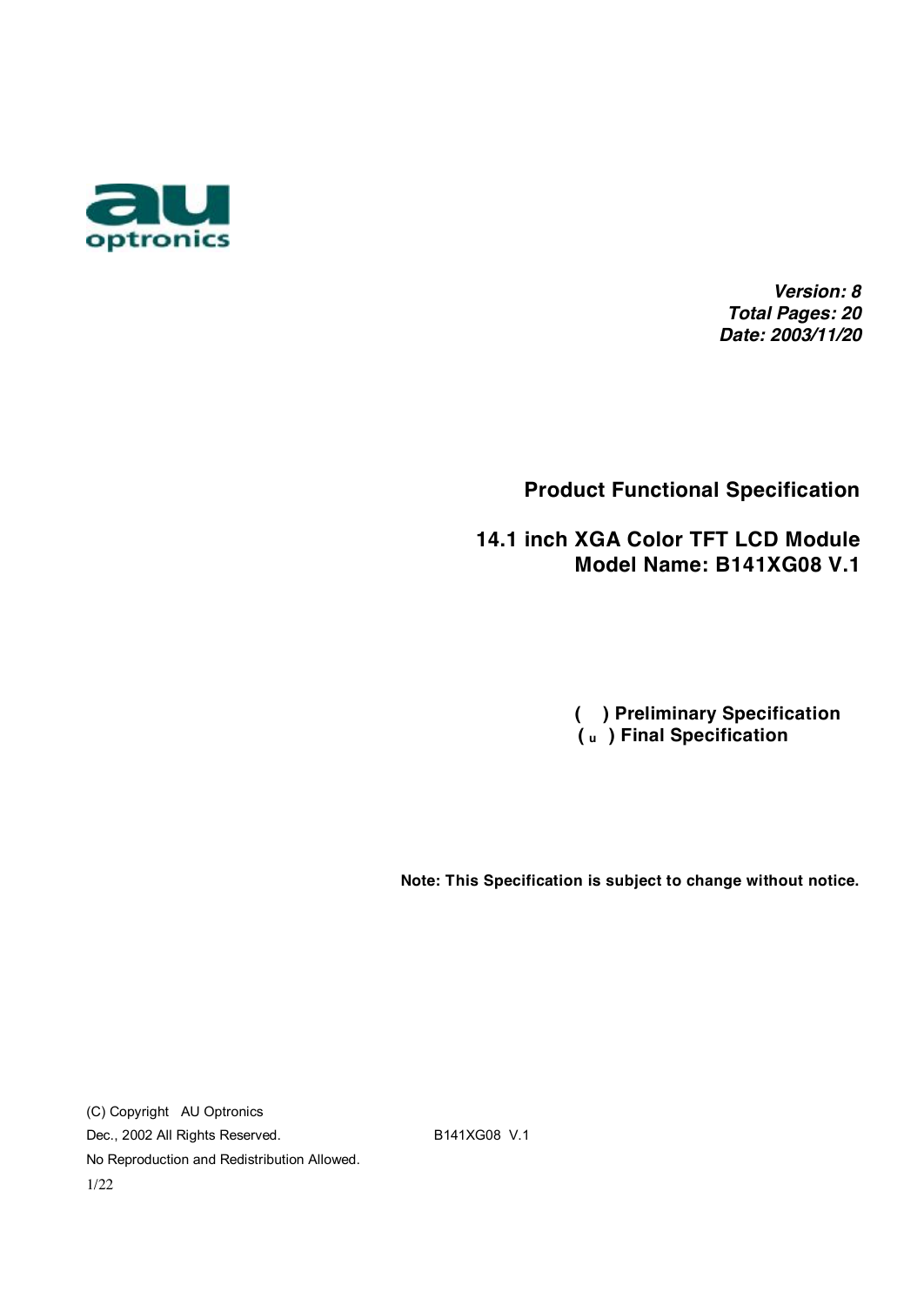

*Version: 8 Total Pages: 20 Date: 2003/11/20*

#### **Product Functional Specification**

 **14.1 inch XGA Color TFT LCD Module Model Name: B141XG08 V.1** 

> **( ) Preliminary Specification ( u ) Final Specification**

**Note: This Specification is subject to change without notice.** 

(C) Copyright AU Optronics Dec., 2002 All Rights Reserved. B141XG08 V.1 No Reproduction and Redistribution Allowed. 1/22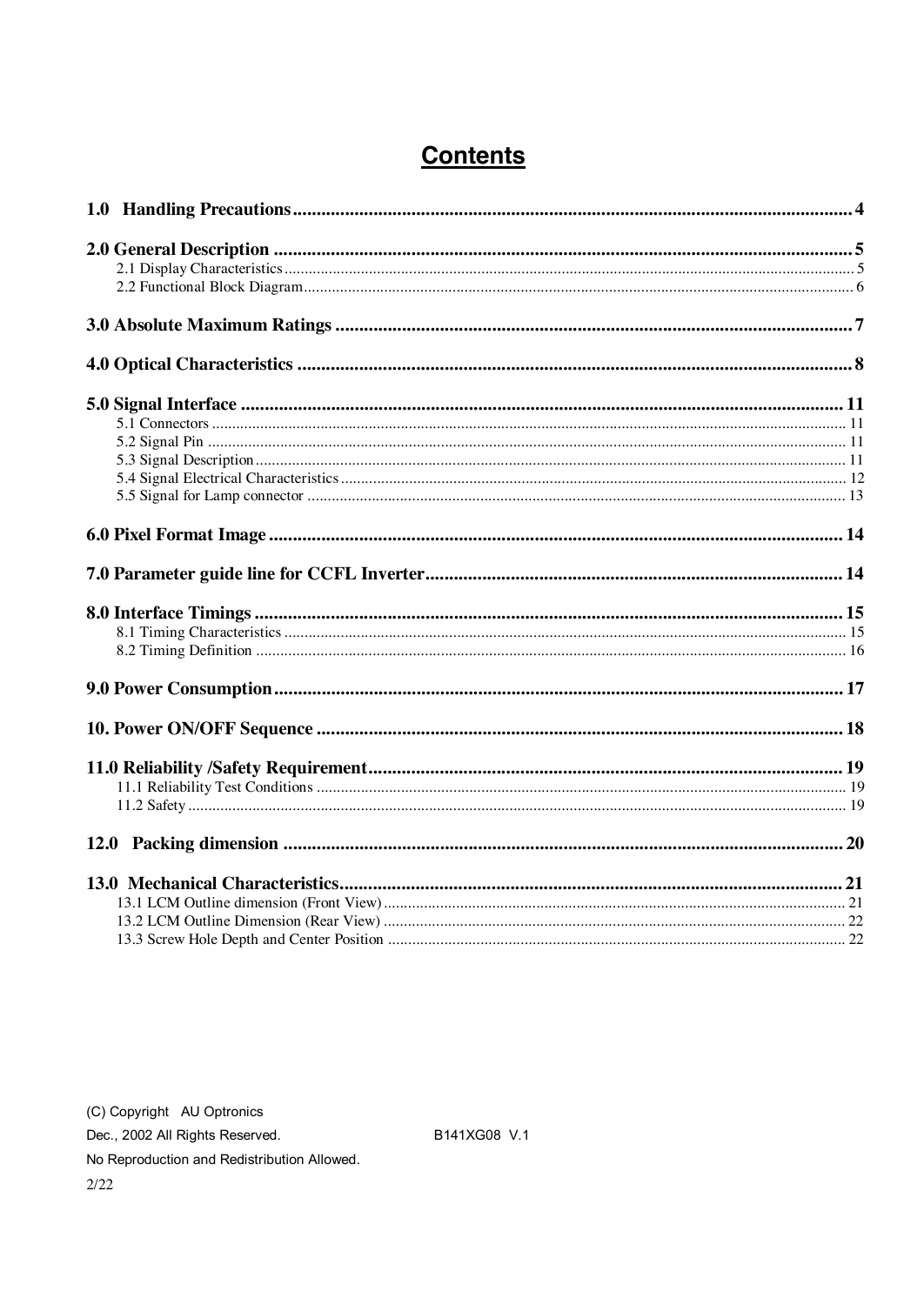## **Contents**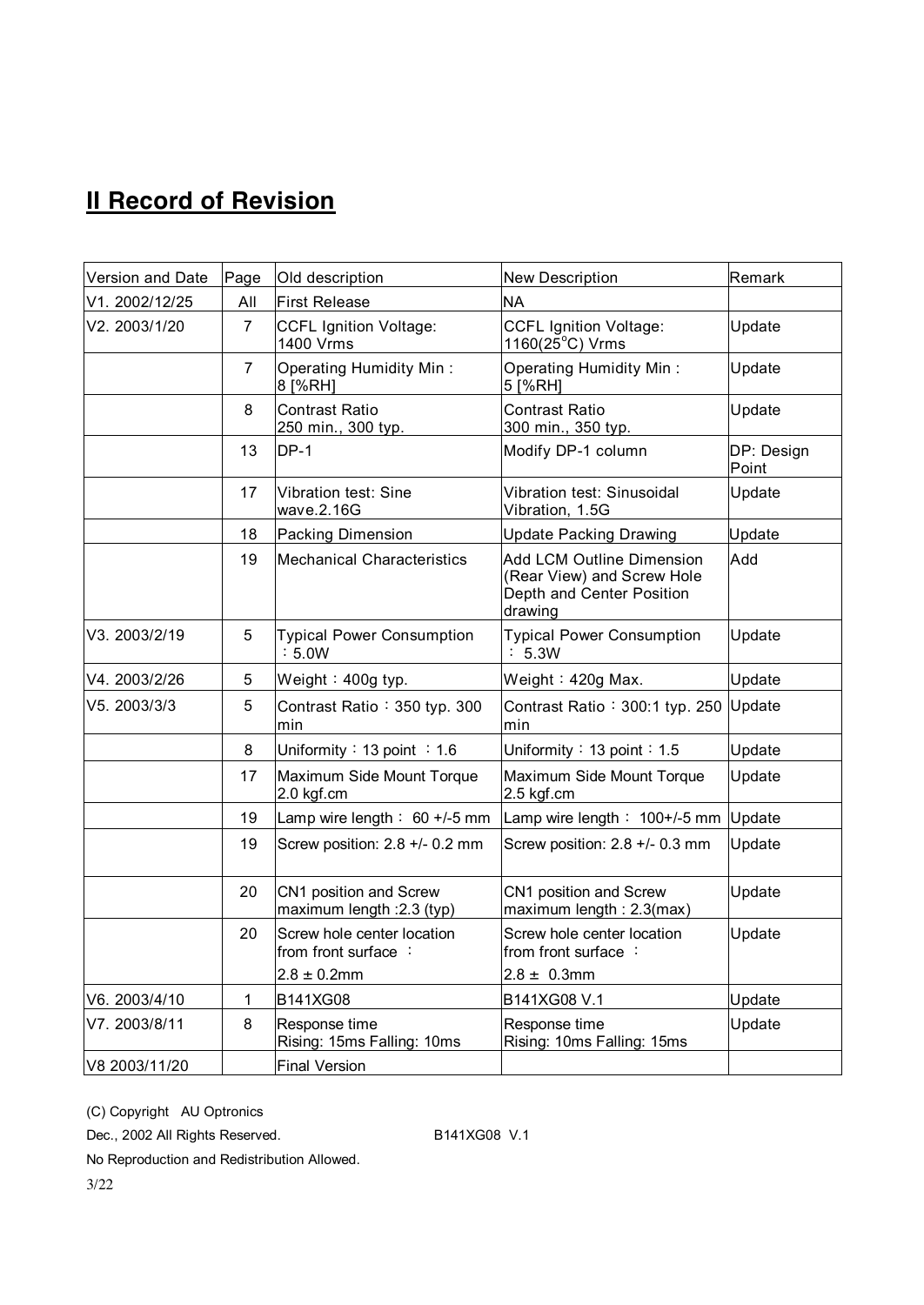# **II Record of Revision**

| Version and Date | Page           | Old description                                      | <b>New Description</b>                                                                                 | Remark              |
|------------------|----------------|------------------------------------------------------|--------------------------------------------------------------------------------------------------------|---------------------|
| V1. 2002/12/25   | All            | <b>First Release</b>                                 | <b>NA</b>                                                                                              |                     |
| V2. 2003/1/20    | 7              | <b>CCFL Ignition Voltage:</b><br>1400 Vrms           | <b>CCFL Ignition Voltage:</b><br>$1160(25^{\circ}C)$ Vrms                                              | Update              |
|                  | $\overline{7}$ | <b>Operating Humidity Min:</b><br>8 [%RH]            | Operating Humidity Min:<br>5 [%RH]                                                                     | Update              |
|                  | 8              | <b>Contrast Ratio</b><br>250 min., 300 typ.          | <b>Contrast Ratio</b><br>300 min., 350 typ.                                                            | Update              |
|                  | 13             | $DP-1$                                               | Modify DP-1 column                                                                                     | DP: Design<br>Point |
|                  | 17             | Vibration test: Sine<br>wave.2.16G                   | Vibration test: Sinusoidal<br>Vibration, 1.5G                                                          | Update              |
|                  | 18             | <b>Packing Dimension</b>                             | <b>Update Packing Drawing</b>                                                                          | Update              |
|                  | 19             | <b>Mechanical Characteristics</b>                    | <b>Add LCM Outline Dimension</b><br>(Rear View) and Screw Hole<br>Depth and Center Position<br>drawing | Add                 |
| V3. 2003/2/19    | 5              | <b>Typical Power Consumption</b><br>: 5.0W           | <b>Typical Power Consumption</b><br>: 5.3W                                                             | Update              |
| V4. 2003/2/26    | 5              | Weight: $400q$ typ.                                  | Weight: $420g$ Max.                                                                                    | Update              |
| V5. 2003/3/3     | 5              | Contrast Ratio: 350 typ. 300<br>min                  | Contrast Ratio: 300:1 typ. 250 Update<br>min                                                           |                     |
|                  | 8              | Uniformity : 13 point : 1.6                          | Uniformity: $13$ point: $1.5$                                                                          | Update              |
|                  | 17             | Maximum Side Mount Torque<br>2.0 kgf.cm              | Maximum Side Mount Torque<br>2.5 kgf.cm                                                                | Update              |
|                  | 19             | Lamp wire length: $60 +/-5$ mm                       | Lamp wire length $\div$ 100+/-5 mm                                                                     | Update              |
|                  | 19             | Screw position: 2.8 +/- 0.2 mm                       | Screw position: 2.8 +/- 0.3 mm                                                                         | Update              |
|                  | 20             | CN1 position and Screw<br>maximum length : 2.3 (typ) | CN1 position and Screw<br>maximum length: 2.3(max)                                                     | Update              |
|                  | 20             | Screw hole center location<br>from front surface:    | Screw hole center location<br>from front surface:                                                      | Update              |
|                  |                | $2.8 \pm 0.2$ mm                                     | $2.8 \pm 0.3$ mm                                                                                       |                     |
| V6. 2003/4/10    | $\mathbf{1}$   | B141XG08                                             | B141XG08 V.1                                                                                           | Update              |
| V7. 2003/8/11    | 8              | Response time<br>Rising: 15ms Falling: 10ms          | Response time<br>Rising: 10ms Falling: 15ms                                                            | Update              |
| V8 2003/11/20    |                | <b>Final Version</b>                                 |                                                                                                        |                     |

(C) Copyright AU Optronics

Dec., 2002 All Rights Reserved. B141XG08 V.1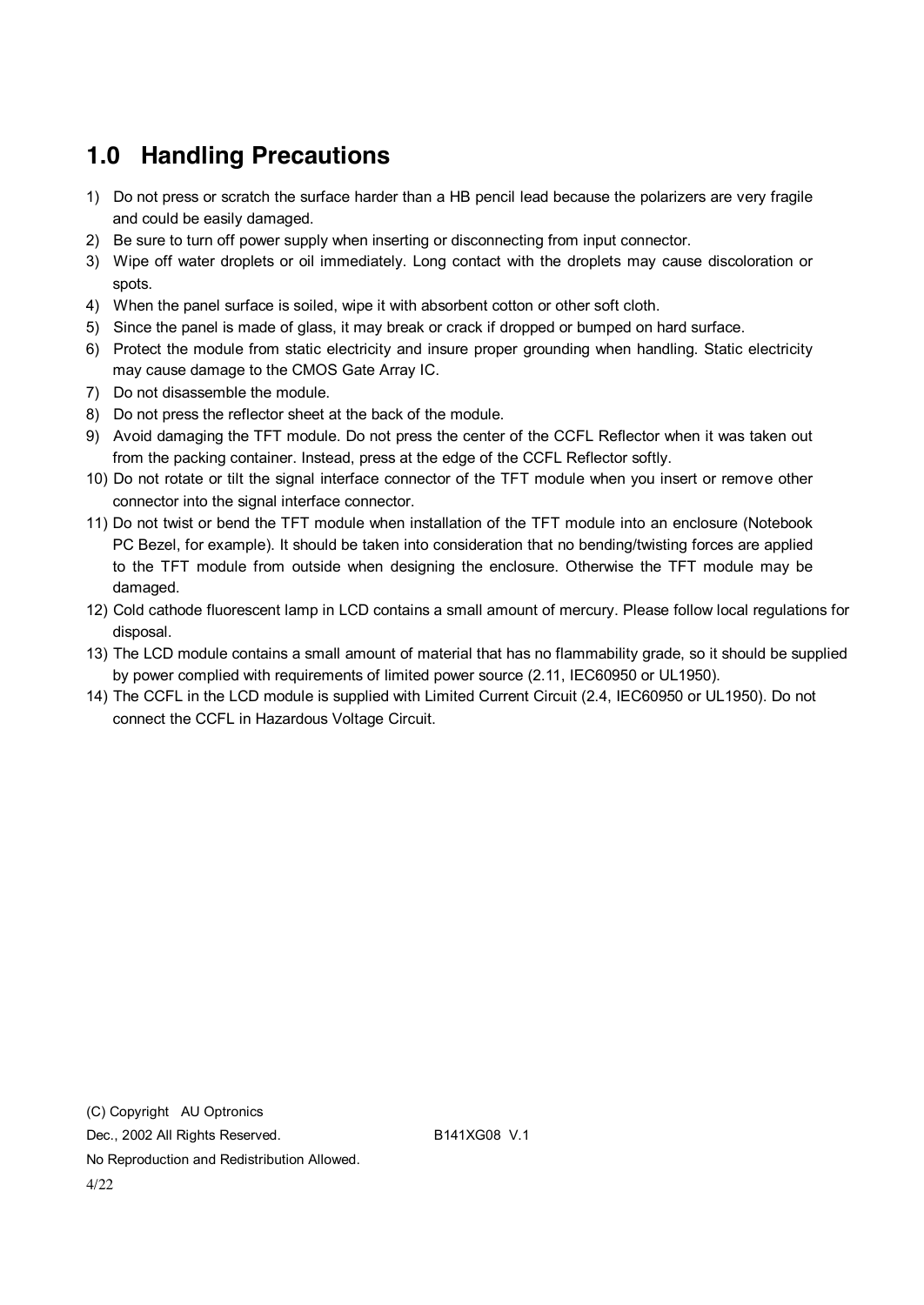# **1.0 Handling Precautions**

- 1) Do not press or scratch the surface harder than a HB pencil lead because the polarizers are very fragile and could be easily damaged.
- 2) Be sure to turn off power supply when inserting or disconnecting from input connector.
- 3) Wipe off water droplets or oil immediately. Long contact with the droplets may cause discoloration or spots.
- 4) When the panel surface is soiled, wipe it with absorbent cotton or other soft cloth.
- 5) Since the panel is made of glass, it may break or crack if dropped or bumped on hard surface.
- 6) Protect the module from static electricity and insure proper grounding when handling. Static electricity may cause damage to the CMOS Gate Array IC.
- 7) Do not disassemble the module.
- 8) Do not press the reflector sheet at the back of the module.
- 9) Avoid damaging the TFT module. Do not press the center of the CCFL Reflector when it was taken out from the packing container. Instead, press at the edge of the CCFL Reflector softly.
- 10) Do not rotate or tilt the signal interface connector of the TFT module when you insert or remove other connector into the signal interface connector.
- 11) Do not twist or bend the TFT module when installation of the TFT module into an enclosure (Notebook PC Bezel, for example). It should be taken into consideration that no bending/twisting forces are applied to the TFT module from outside when designing the enclosure. Otherwise the TFT module may be damaged.
- 12) Cold cathode fluorescent lamp in LCD contains a small amount of mercury. Please follow local regulations for disposal.
- 13) The LCD module contains a small amount of material that has no flammability grade, so it should be supplied by power complied with requirements of limited power source (2.11, IEC60950 or UL1950).
- 14) The CCFL in the LCD module is supplied with Limited Current Circuit (2.4, IEC60950 or UL1950). Do not connect the CCFL in Hazardous Voltage Circuit.

(C) Copyright AU Optronics Dec., 2002 All Rights Reserved. B141XG08 V.1 No Reproduction and Redistribution Allowed. 4/22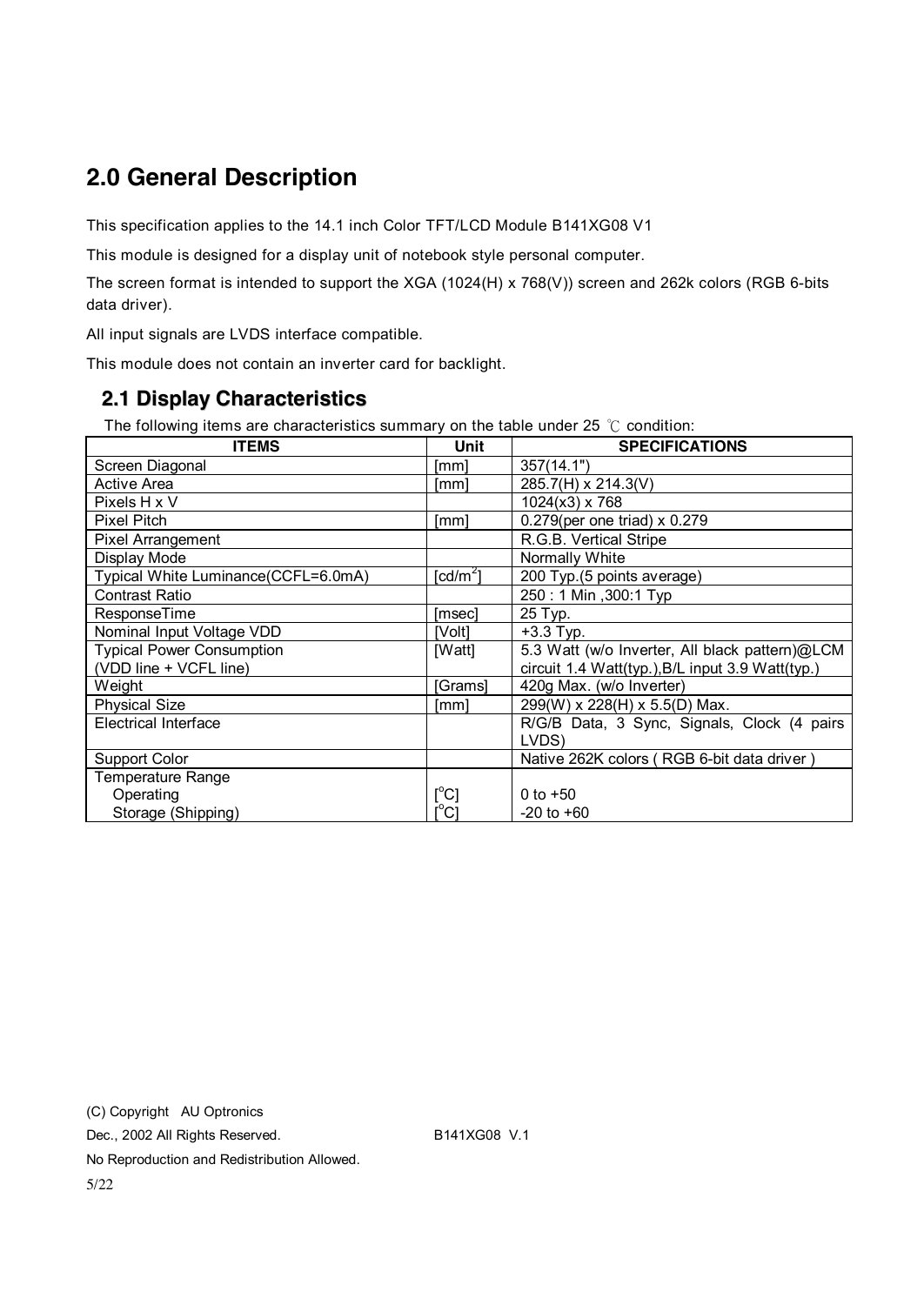## **2.0 General Description**

This specification applies to the 14.1 inch Color TFT/LCD Module B141XG08 V1

This module is designed for a display unit of notebook style personal computer.

The screen format is intended to support the XGA (1024(H) x 768(V)) screen and 262k colors (RGB 6-bits data driver).

All input signals are LVDS interface compatible.

This module does not contain an inverter card for backlight.

#### **2.1 Display Characteristics**

The following items are characteristics summary on the table under 25 ℃ condition:

| <b>ITEMS</b>                        | Unit                                   | <b>SPECIFICATIONS</b>                            |
|-------------------------------------|----------------------------------------|--------------------------------------------------|
| Screen Diagonal                     | [mm]                                   | 357(14.1")                                       |
| Active Area                         | [mm]                                   | 285.7(H) x 214.3(V)                              |
| Pixels H x V                        |                                        | 1024(x3) x 768                                   |
| <b>Pixel Pitch</b>                  | [mm]                                   | 0.279(per one triad) x 0.279                     |
| Pixel Arrangement                   |                                        | R.G.B. Vertical Stripe                           |
| Display Mode                        |                                        | Normally White                                   |
| Typical White Luminance(CCFL=6.0mA) | [ $cd/m2$ ]                            | 200 Typ.(5 points average)                       |
| Contrast Ratio                      |                                        | 250: 1 Min, 300: 1 Typ                           |
| <b>ResponseTime</b>                 | [msec]                                 | 25 Typ.                                          |
| Nominal Input Voltage VDD           | [Volt]                                 | $+3.3$ Typ.                                      |
| <b>Typical Power Consumption</b>    | [Watt]                                 | 5.3 Watt (w/o Inverter, All black pattern)@LCM   |
| (VDD line + VCFL line)              |                                        | circuit 1.4 Watt(typ.), B/L input 3.9 Watt(typ.) |
| Weight                              | [Grams]                                | 420g Max. (w/o Inverter)                         |
| <b>Physical Size</b>                | [mm]                                   | 299(W) x 228(H) x 5.5(D) Max.                    |
| <b>Electrical Interface</b>         |                                        | R/G/B Data, 3 Sync, Signals, Clock (4 pairs      |
|                                     |                                        | LVDS)                                            |
| <b>Support Color</b>                |                                        | Native 262K colors (RGB 6-bit data driver)       |
| Temperature Range                   |                                        |                                                  |
| Operating                           | $\mathsf{I}^\circ\mathsf{C}\mathsf{I}$ | 0 to $+50$                                       |
| Storage (Shipping)                  | $\overline{\mathsf{C}}$                | $-20$ to $+60$                                   |

(C) Copyright AU Optronics Dec., 2002 All Rights Reserved. B141XG08 V.1 No Reproduction and Redistribution Allowed.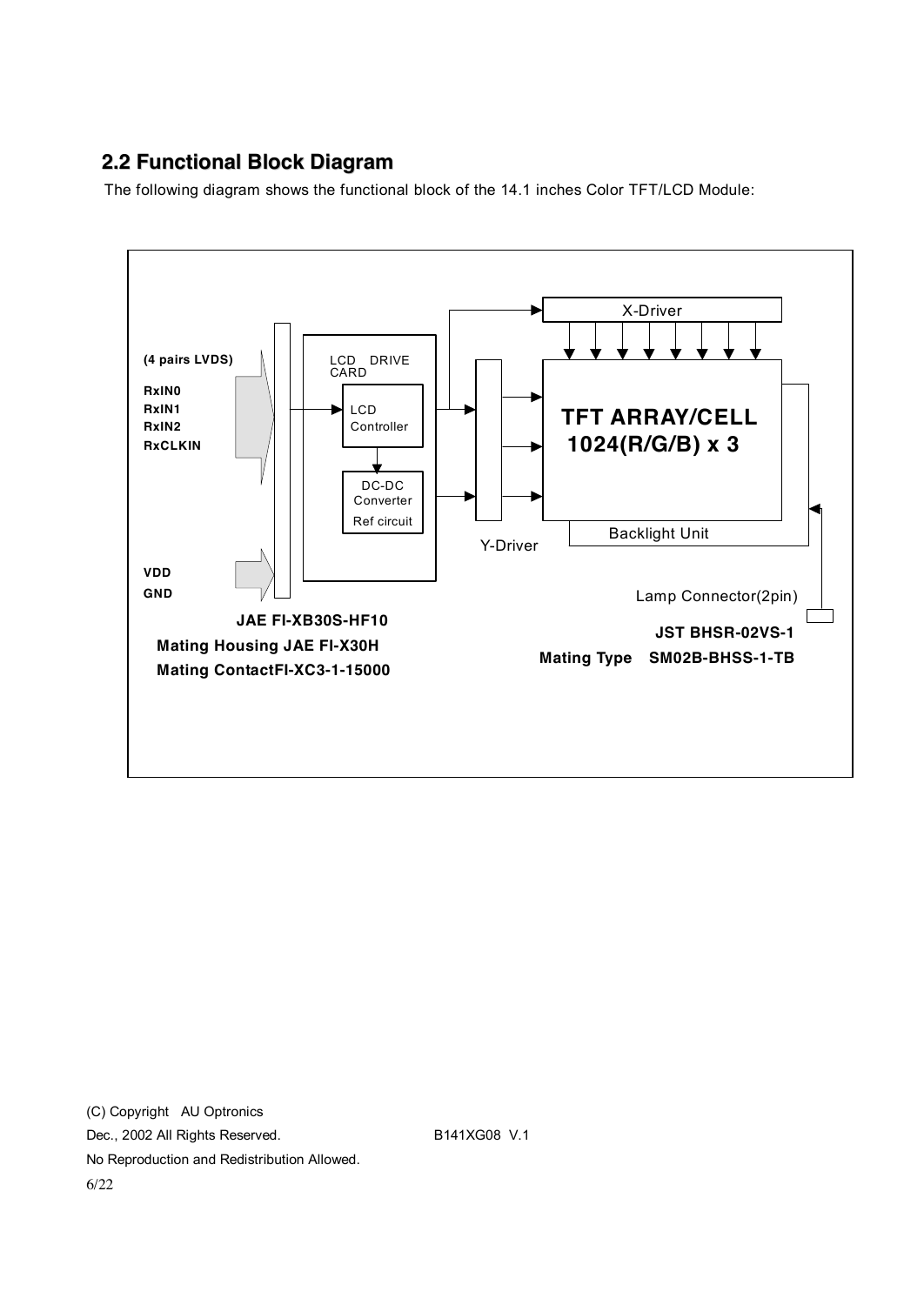### **2.2 Functional Block Diagram**

The following diagram shows the functional block of the 14.1 inches Color TFT/LCD Module:



(C) Copyright AU Optronics Dec., 2002 All Rights Reserved. B141XG08 V.1 No Reproduction and Redistribution Allowed. 6/22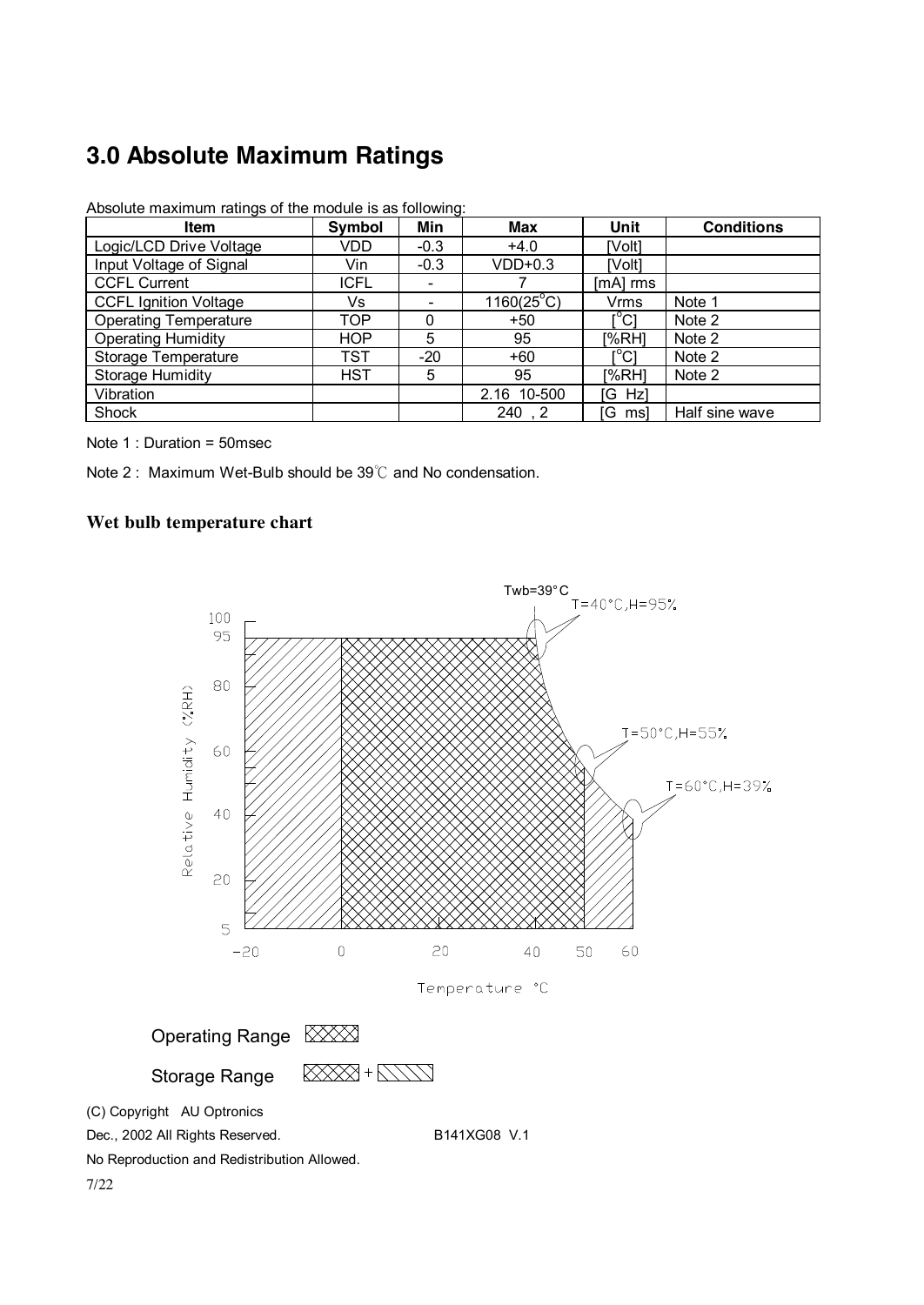# **3.0 Absolute Maximum Ratings**

| <b>Item</b>                  | Symbol      | Min                      | Max                 | Unit                          | <b>Conditions</b> |
|------------------------------|-------------|--------------------------|---------------------|-------------------------------|-------------------|
| Logic/LCD Drive Voltage      | VDD.        | $-0.3$                   | $+4.0$              | <b>IVolt1</b>                 |                   |
| Input Voltage of Signal      | Vin         | $-0.3$                   | $VDD+0.3$           | [Volt]                        |                   |
| <b>CCFL Current</b>          | <b>ICFL</b> | $\overline{\phantom{0}}$ |                     | $[mA]$ rms                    |                   |
| <b>CCFL Ignition Voltage</b> | Vs          |                          | $1160(25^{\circ}C)$ | Vrms                          | Note 1            |
| <b>Operating Temperature</b> | TOP         | 0                        | $+50$               | $\mathsf{I}^\circ\mathsf{Cl}$ | Note 2            |
| <b>Operating Humidity</b>    | <b>HOP</b>  | 5                        | 95                  | [%RH]                         | Note 2            |
| Storage Temperature          | TST         | $-20$                    | $+60$               | [°C]                          | Note 2            |
| <b>Storage Humidity</b>      | <b>HST</b>  | 5                        | 95                  | [%RH]                         | Note 2            |
| Vibration                    |             |                          | 2.16 10-500         | [G Hz]                        |                   |
| Shock                        |             |                          | 240, 2              | [G ms]                        | Half sine wave    |

Absolute maximum ratings of the module is as following:

Note 1 : Duration = 50msec

7/22

Note 2 : Maximum Wet-Bulb should be 39℃ and No condensation.

#### **Wet bulb temperature chart**

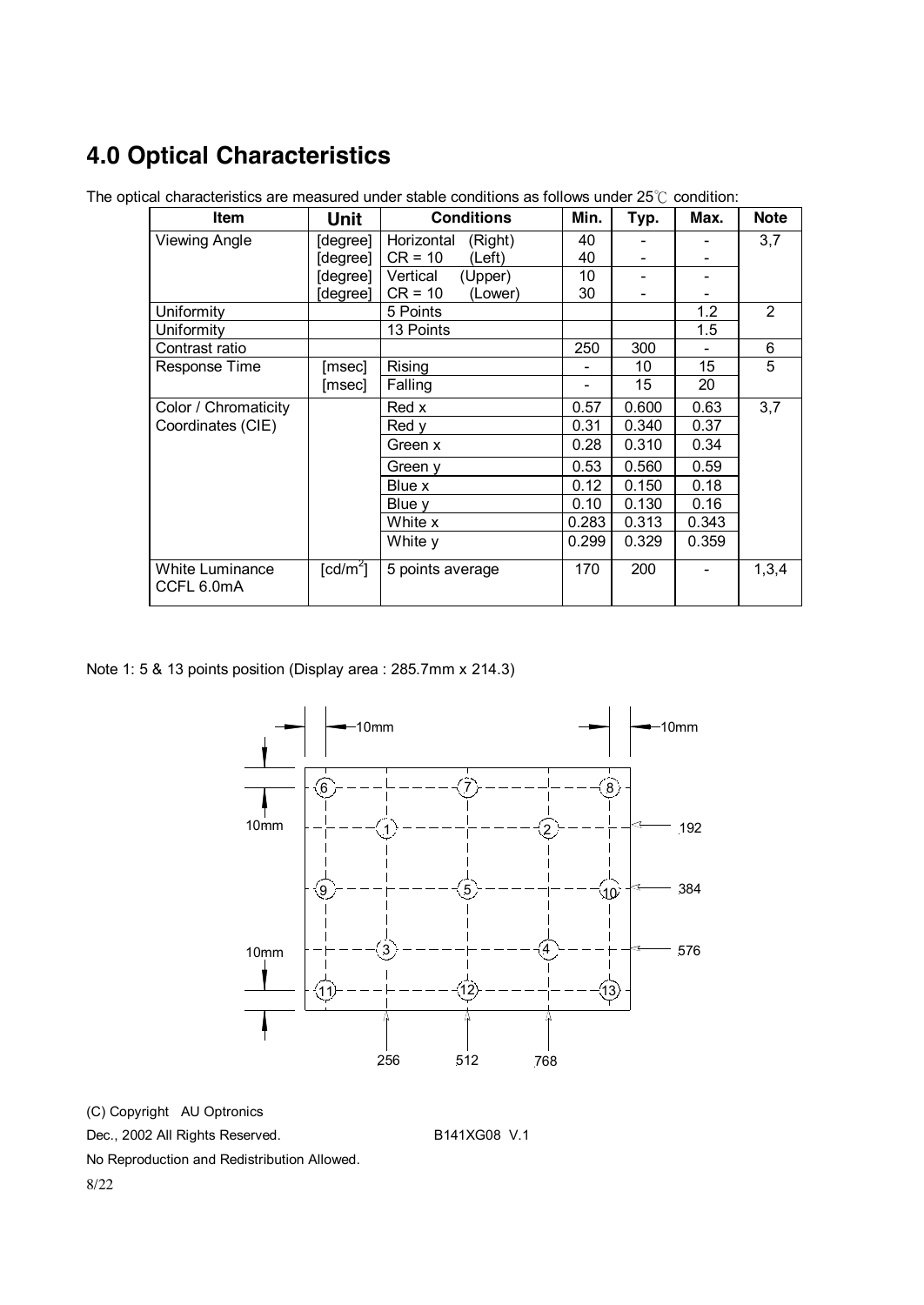# **4.0 Optical Characteristics**

| <b>Item</b>                   | Unit                   | <b>Conditions</b>     | Min.  | Typ.  | Max.  | <b>Note</b>    |
|-------------------------------|------------------------|-----------------------|-------|-------|-------|----------------|
| <b>Viewing Angle</b>          | [degree]               | Horizontal<br>(Right) | 40    |       |       | 3,7            |
|                               | [degree]               | $CR = 10$<br>(Left)   | 40    |       |       |                |
|                               | [degree]               | Vertical<br>(Upper)   | 10    |       |       |                |
|                               | degree]                | $CR = 10$<br>(Lower)  | 30    |       |       |                |
| Uniformity                    |                        | 5 Points              |       |       | 1.2   | $\overline{2}$ |
| Uniformity                    |                        | 13 Points             |       |       | 1.5   |                |
| Contrast ratio                |                        |                       | 250   | 300   |       | 6              |
| Response Time                 | [msec]                 | Rising                |       | 10    | 15    | 5              |
|                               | [msec]                 | Falling               |       | 15    | 20    |                |
| Color / Chromaticity          |                        | Red x                 | 0.57  | 0.600 | 0.63  | 3,7            |
| Coordinates (CIE)             |                        | Red y                 | 0.31  | 0.340 | 0.37  |                |
|                               |                        | Green x               | 0.28  | 0.310 | 0.34  |                |
|                               |                        | Green y               | 0.53  | 0.560 | 0.59  |                |
|                               |                        | Blue x                | 0.12  | 0.150 | 0.18  |                |
|                               |                        | Blue y                | 0.10  | 0.130 | 0.16  |                |
|                               |                        | White x               | 0.283 | 0.313 | 0.343 |                |
|                               |                        | White y               | 0.299 | 0.329 | 0.359 |                |
| White Luminance<br>CCFL 6.0mA | $\lceil cd/m^2 \rceil$ | 5 points average      | 170   | 200   |       | 1,3,4          |

The optical characteristics are measured under stable conditions as follows under 25℃ condition:

Note 1: 5 & 13 points position (Display area : 285.7mm x 214.3)



(C) Copyright AU Optronics

Dec., 2002 All Rights Reserved. B141XG08 V.1

No Reproduction and Redistribution Allowed.

8/22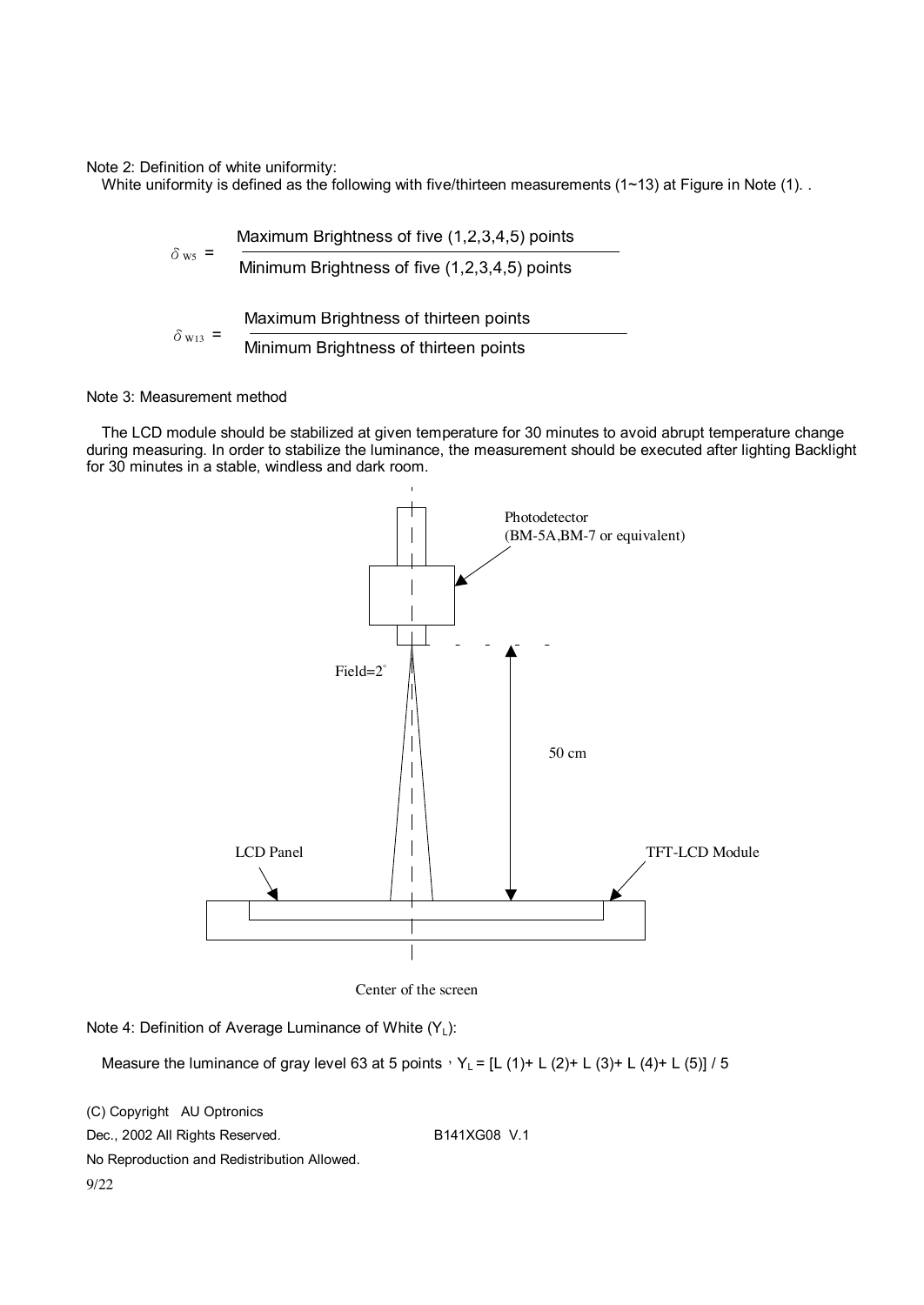Note 2: Definition of white uniformity:

White uniformity is defined as the following with five/thirteen measurements (1~13) at Figure in Note (1). .

$$
\delta_{ws} = \frac{\text{Maximum brightness of five } (1,2,3,4,5) \text{ points}}{\text{Minimum brightness of five } (1,2,3,4,5) \text{ points}}
$$
\n
$$
\delta_{ws} = \frac{\text{Maximum brightness of thirteen points}}{\text{Minimum brightness of thirteen points}}
$$

#### Note 3: Measurement method

The LCD module should be stabilized at given temperature for 30 minutes to avoid abrupt temperature change during measuring. In order to stabilize the luminance, the measurement should be executed after lighting Backlight for 30 minutes in a stable, windless and dark room.



Center of the screen

Note 4: Definition of Average Luminance of White  $(Y_L)$ :

Measure the luminance of gray level 63 at 5 points,  $Y_L = [L (1) + L (2) + L (3) + L (4) + L (5)]$  / 5

(C) Copyright AU Optronics Dec., 2002 All Rights Reserved. B141XG08 V.1 No Reproduction and Redistribution Allowed. 9/22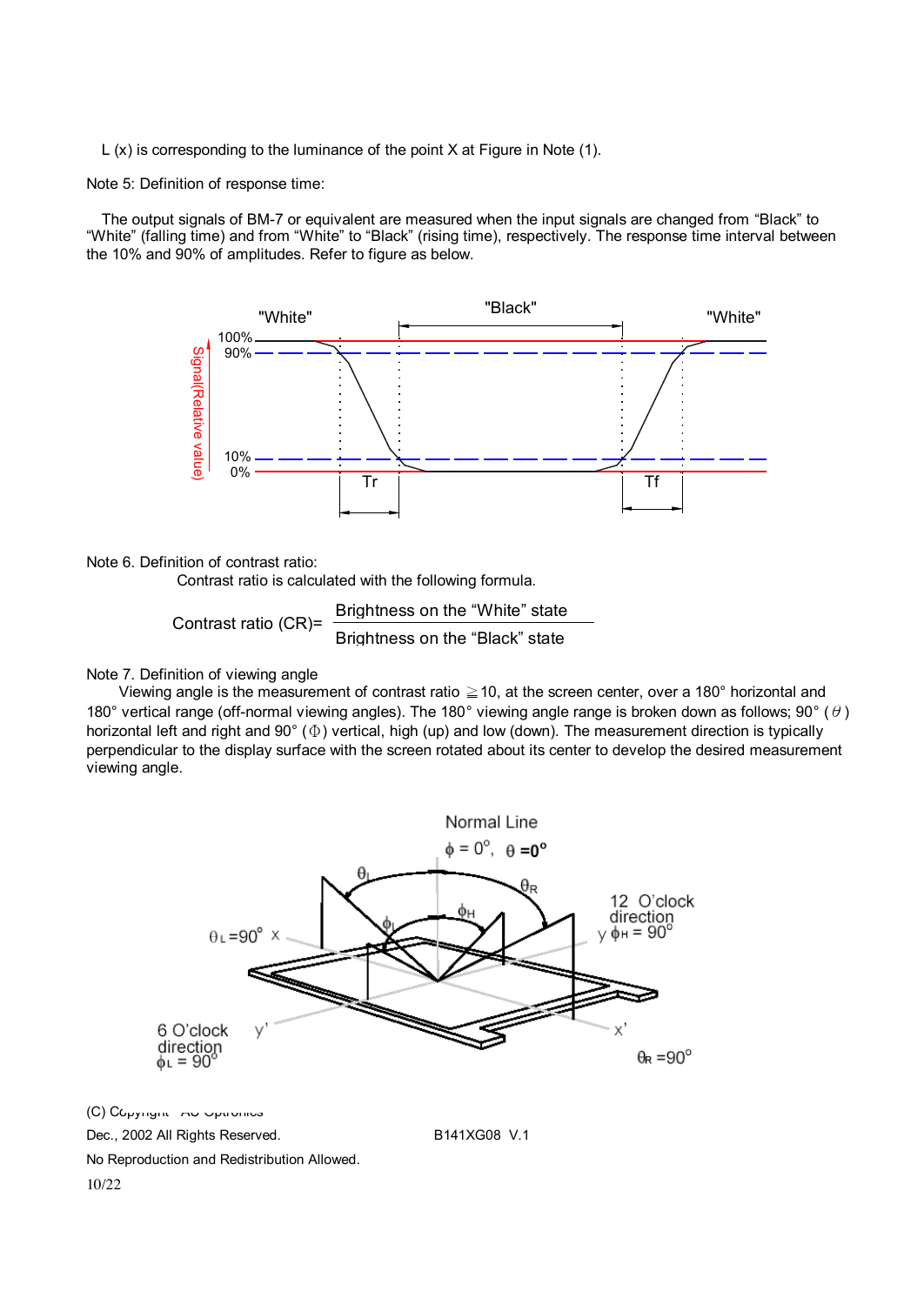L (x) is corresponding to the luminance of the point X at Figure in Note (1).

Note 5: Definition of response time:

The output signals of BM-7 or equivalent are measured when the input signals are changed from "Black" to "White" (falling time) and from "White" to "Black" (rising time), respectively. The response time interval between the 10% and 90% of amplitudes. Refer to figure as below.



Note 6. Definition of contrast ratio:

Contrast ratio is calculated with the following formula.

Contrast ratio (CR)= Brightness on the "White" state Brightness on the "Black" state

#### Note 7. Definition of viewing angle

 Viewing angle is the measurement of contrast ratio ≧10, at the screen center, over a 180° horizontal and 180° vertical range (off-normal viewing angles). The 180° viewing angle range is broken down as follows; 90° ( $\theta$ ) horizontal left and right and 90° (Φ) vertical, high (up) and low (down). The measurement direction is typically perpendicular to the display surface with the screen rotated about its center to develop the desired measurement viewing angle.

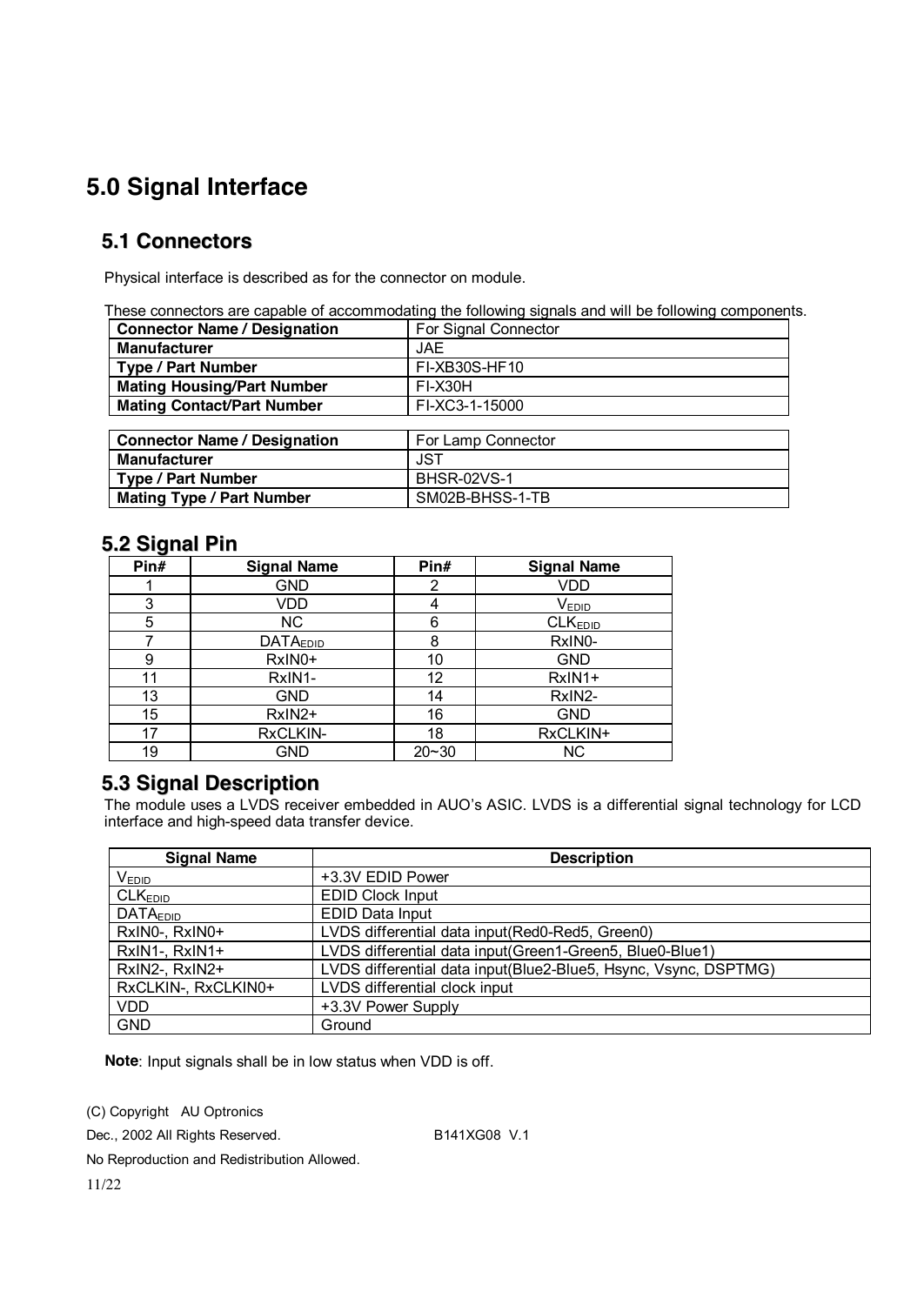## **5.0 Signal Interface**

### **5.1 Connectors**

Physical interface is described as for the connector on module.

These connectors are capable of accommodating the following signals and will be following components.

| <b>Connector Name / Designation</b> | For Signal Connector |
|-------------------------------------|----------------------|
| <b>Manufacturer</b>                 | JAF.                 |
| <b>Type / Part Number</b>           | FI-XB30S-HF10        |
| <b>Mating Housing/Part Number</b>   | FI-X30H              |
| <b>Mating Contact/Part Number</b>   | FI-XC3-1-15000       |
|                                     |                      |
| <b>Connector Name / Designation</b> | For Lamp Connector   |

| <b>Connector Name / Designation</b> | For Lamp Connector |
|-------------------------------------|--------------------|
| Manufacturer                        | JST                |
| <b>Type / Part Number</b>           | BHSR-02VS-1        |
| <b>Mating Type / Part Number</b>    | SM02B-BHSS-1-TB    |

#### **5.2 Signal Pin**

| Pin# | <b>Signal Name</b> | Pin#      | <b>Signal Name</b>  |
|------|--------------------|-----------|---------------------|
|      | GND                | 2         | VDD                 |
| 3    | VDD                |           | $V_{EDID}$          |
| 5    | NC.                | 6         | CLK <sub>EDID</sub> |
|      | <b>DATAEDID</b>    | 8         | RxIN0-              |
| 9    | RxIN0+             | 10        | <b>GND</b>          |
| 11   | RxIN1-             | 12        | RxIN1+              |
| 13   | <b>GND</b>         | 14        | RxIN2-              |
| 15   | RxIN2+             | 16        | <b>GND</b>          |
| 17   | RxCLKIN-           | 18        | RxCLKIN+            |
| 19   | GND                | $20 - 30$ | <b>NC</b>           |

#### **5.3 Signal Description**

The module uses a LVDS receiver embedded in AUO's ASIC. LVDS is a differential signal technology for LCD interface and high-speed data transfer device.

| <b>Signal Name</b>  | <b>Description</b>                                              |
|---------------------|-----------------------------------------------------------------|
| $V_{EDID}$          | +3.3V EDID Power                                                |
| CLK <sub>EDID</sub> | <b>EDID Clock Input</b>                                         |
| <b>DATAEDID</b>     | <b>EDID Data Input</b>                                          |
| RxIN0-, RxIN0+      | LVDS differential data input (Red0-Red5, Green0)                |
| RxIN1-, RxIN1+      | LVDS differential data input(Green1-Green5, Blue0-Blue1)        |
| RxIN2-, RxIN2+      | LVDS differential data input(Blue2-Blue5, Hsync, Vsync, DSPTMG) |
| RxCLKIN-, RxCLKIN0+ | LVDS differential clock input                                   |
| <b>VDD</b>          | +3.3V Power Supply                                              |
| <b>GND</b>          | Ground                                                          |

**Note**: Input signals shall be in low status when VDD is off.

(C) Copyright AU Optronics

Dec., 2002 All Rights Reserved. B141XG08 V.1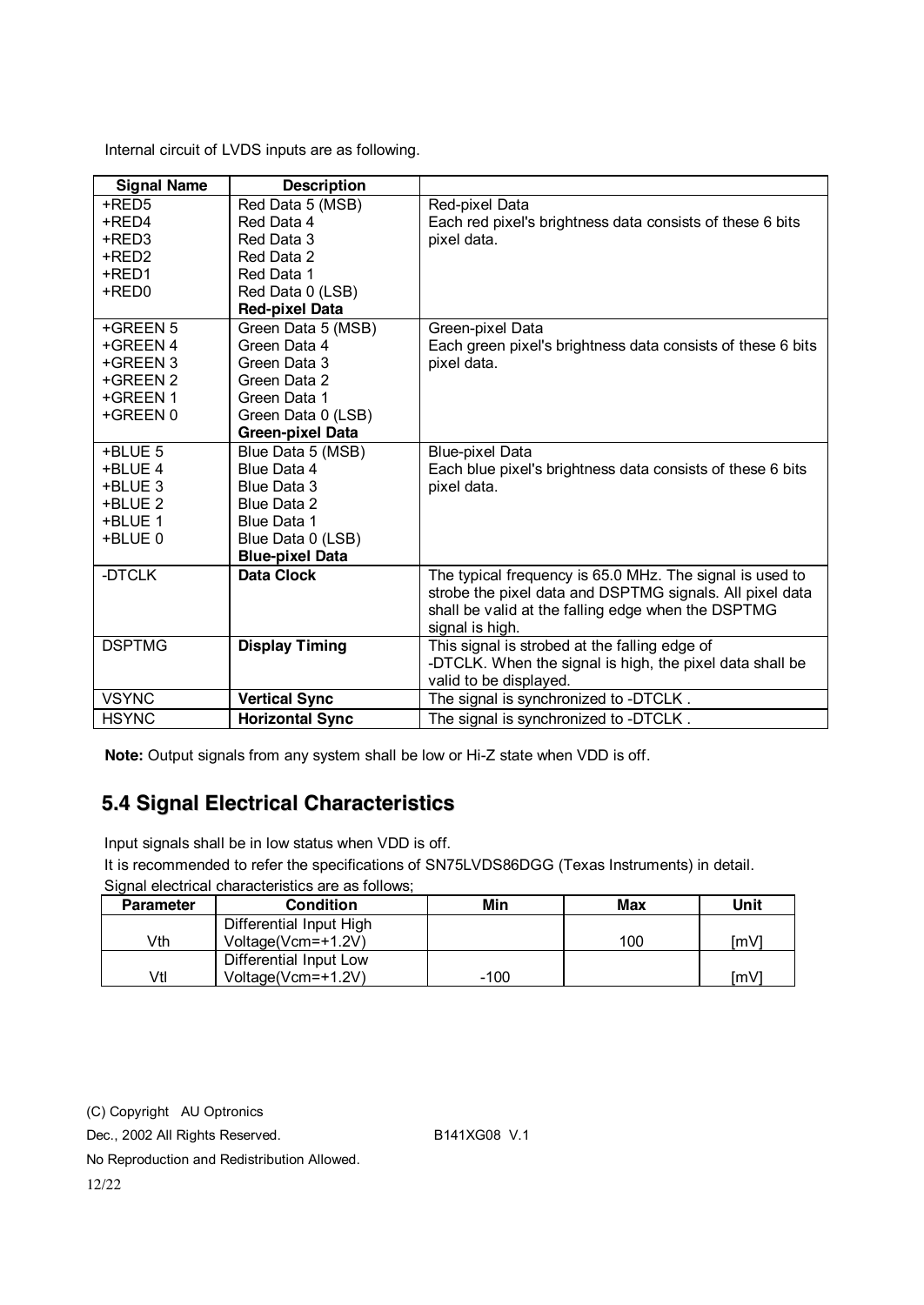Internal circuit of LVDS inputs are as following.

| <b>Signal Name</b> | <b>Description</b>      |                                                             |
|--------------------|-------------------------|-------------------------------------------------------------|
| +RED5              | Red Data 5 (MSB)        | Red-pixel Data                                              |
| +RED4              | Red Data 4              | Each red pixel's brightness data consists of these 6 bits   |
| +RED3              | Red Data 3              | pixel data.                                                 |
| +RED2              | Red Data 2              |                                                             |
| +RED1              | Red Data 1              |                                                             |
| +RED0              | Red Data 0 (LSB)        |                                                             |
|                    | <b>Red-pixel Data</b>   |                                                             |
| +GREEN 5           | Green Data 5 (MSB)      | Green-pixel Data                                            |
| +GREEN 4           | Green Data 4            | Each green pixel's brightness data consists of these 6 bits |
| +GREEN 3           | Green Data 3            | pixel data.                                                 |
| +GREEN 2           | Green Data 2            |                                                             |
| +GREEN 1           | Green Data 1            |                                                             |
| +GREEN 0           | Green Data 0 (LSB)      |                                                             |
|                    | <b>Green-pixel Data</b> |                                                             |
| +BLUE 5            | Blue Data 5 (MSB)       | <b>Blue-pixel Data</b>                                      |
| +BLUE 4            | Blue Data 4             | Each blue pixel's brightness data consists of these 6 bits  |
| +BLUE 3            | Blue Data 3             | pixel data.                                                 |
| +BLUE 2            | Blue Data 2             |                                                             |
| +BLUE 1            | Blue Data 1             |                                                             |
| +BLUE 0            | Blue Data 0 (LSB)       |                                                             |
|                    | <b>Blue-pixel Data</b>  |                                                             |
| -DTCLK             | <b>Data Clock</b>       | The typical frequency is 65.0 MHz. The signal is used to    |
|                    |                         | strobe the pixel data and DSPTMG signals. All pixel data    |
|                    |                         | shall be valid at the falling edge when the DSPTMG          |
|                    |                         | signal is high.                                             |
| <b>DSPTMG</b>      | <b>Display Timing</b>   | This signal is strobed at the falling edge of               |
|                    |                         | -DTCLK. When the signal is high, the pixel data shall be    |
|                    |                         | valid to be displayed.                                      |
| <b>VSYNC</b>       | <b>Vertical Sync</b>    | The signal is synchronized to -DTCLK.                       |
| <b>HSYNC</b>       | <b>Horizontal Sync</b>  | The signal is synchronized to -DTCLK.                       |

**Note:** Output signals from any system shall be low or Hi-Z state when VDD is off.

### **5.4 Signal Electrical Characteristics**

Input signals shall be in low status when VDD is off.

It is recommended to refer the specifications of SN75LVDS86DGG (Texas Instruments) in detail.

Signal electrical characteristics are as follows;

| <b>Parameter</b> | <b>Condition</b>        | Min    | Max | Unit |
|------------------|-------------------------|--------|-----|------|
|                  | Differential Input High |        |     |      |
| ∨th              | Voltage(Vcm=+1.2V)      |        | 100 | [mV] |
|                  | Differential Input Low  |        |     |      |
| Vtl              | Voltage(Vcm=+1.2V)      | $-100$ |     | ſmV  |

(C) Copyright AU Optronics

Dec., 2002 All Rights Reserved. B141XG08 V.1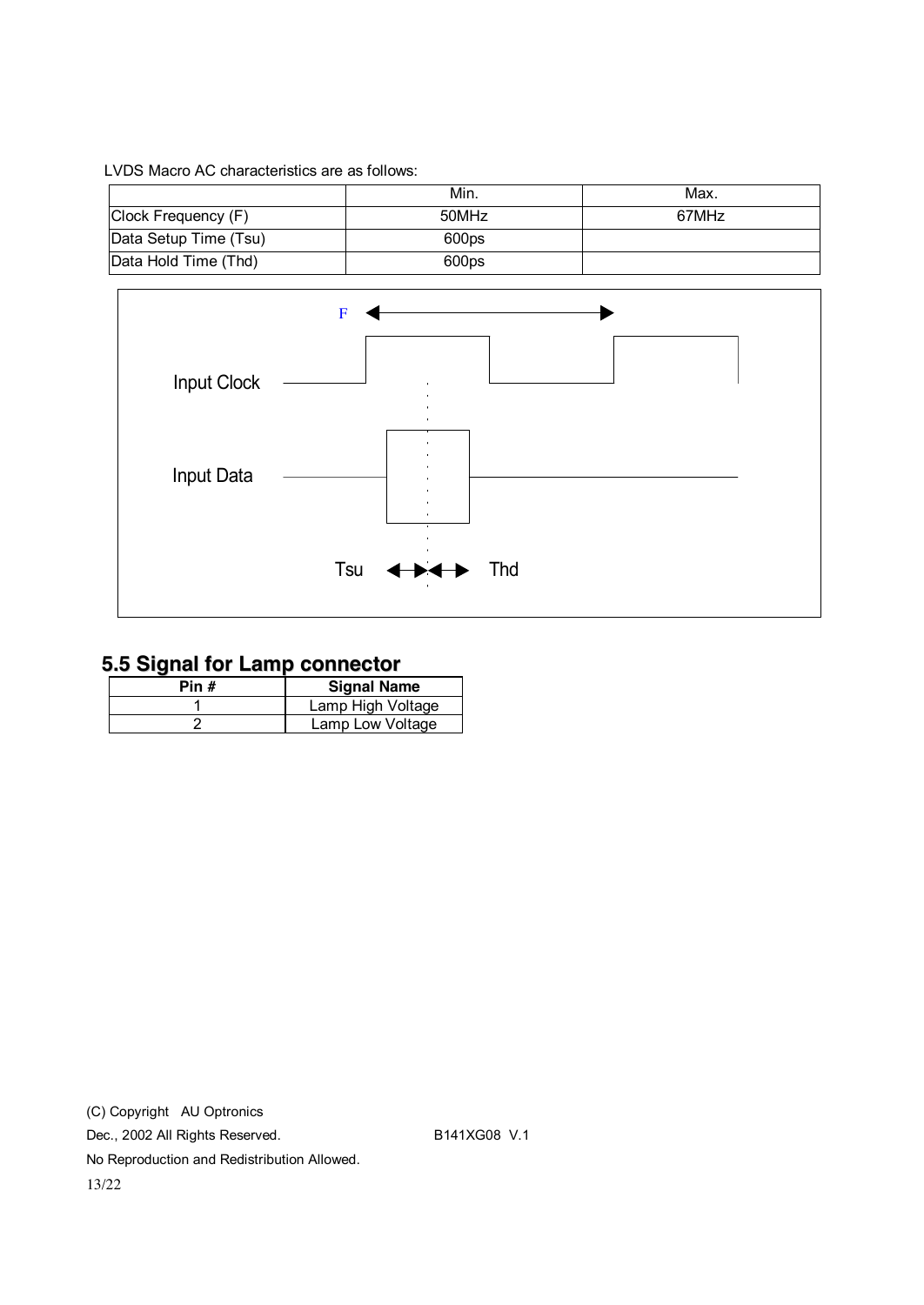#### LVDS Macro AC characteristics are as follows:

|                       | Min.  | Max.  |
|-----------------------|-------|-------|
| Clock Frequency (F)   | 50MHz | 67MHz |
| Data Setup Time (Tsu) | 600ps |       |
| Data Hold Time (Thd)  | 600ps |       |



### **5.5 Signal for Lamp connector**

| Pin # | <b>Signal Name</b> |
|-------|--------------------|
|       | Lamp High Voltage  |
|       | Lamp Low Voltage   |

(C) Copyright AU Optronics Dec., 2002 All Rights Reserved. B141XG08 V.1 No Reproduction and Redistribution Allowed. 13/22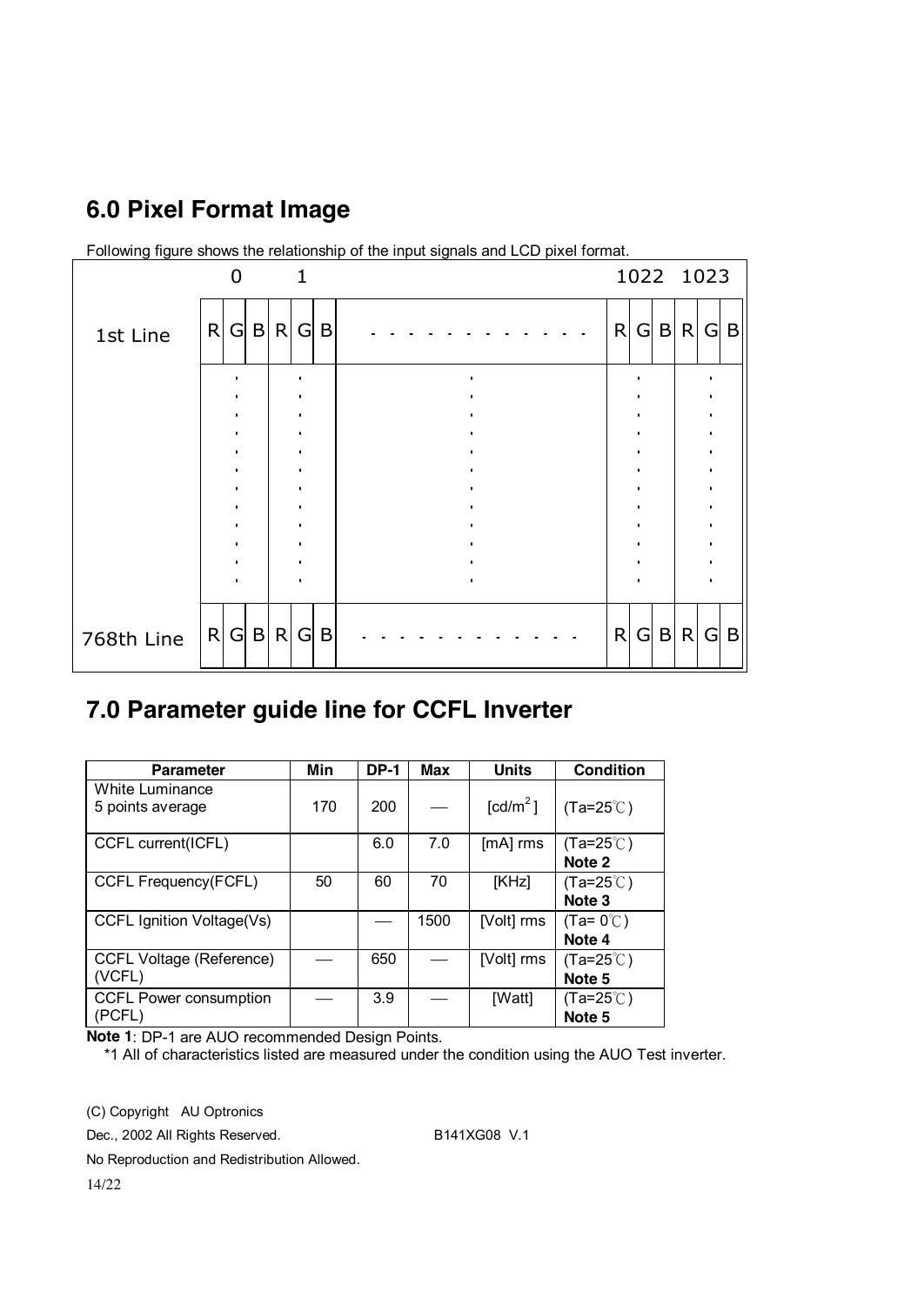## **6.0 Pixel Format Image**



Following figure shows the relationship of the input signals and LCD pixel format.

### **7.0 Parameter guide line for CCFL Inverter**

| <b>Parameter</b>                          | Min | <b>DP-1</b> | Max  | <b>Units</b>         | <b>Condition</b>                        |
|-------------------------------------------|-----|-------------|------|----------------------|-----------------------------------------|
| White Luminance<br>5 points average       | 170 | 200         |      | [cd/m <sup>2</sup> ] | $(Ta=25^{\circ}C)$                      |
| CCFL current(ICFL)                        |     | 6.0         | 7.0  | $[mA]$ rms           | $(Ta=25^{\circ}$ C)<br>Note 2           |
| CCFL Frequency(FCFL)                      | 50  | 60          | 70   | [KHz]                | $(Ta=25^{\circ}C)$<br>Note <sub>3</sub> |
| CCFL Ignition Voltage(Vs)                 |     |             | 1500 | [Volt] rms           | $(Ta=0^{\circ}C)$<br>Note 4             |
| <b>CCFL Voltage (Reference)</b><br>(VCFL) |     | 650         |      | [Volt] rms           | $(Ta=25^{\circ}$ C)<br>Note 5           |
| <b>CCFL Power consumption</b><br>(PCFL)   |     | 3.9         |      | [Watt]               | $(Ta=25^{\circ}$ C)<br>Note 5           |

**Note 1**: DP-1 are AUO recommended Design Points.

\*1 All of characteristics listed are measured under the condition using the AUO Test inverter.

(C) Copyright AU Optronics

Dec., 2002 All Rights Reserved. B141XG08 V.1

No Reproduction and Redistribution Allowed.

14/22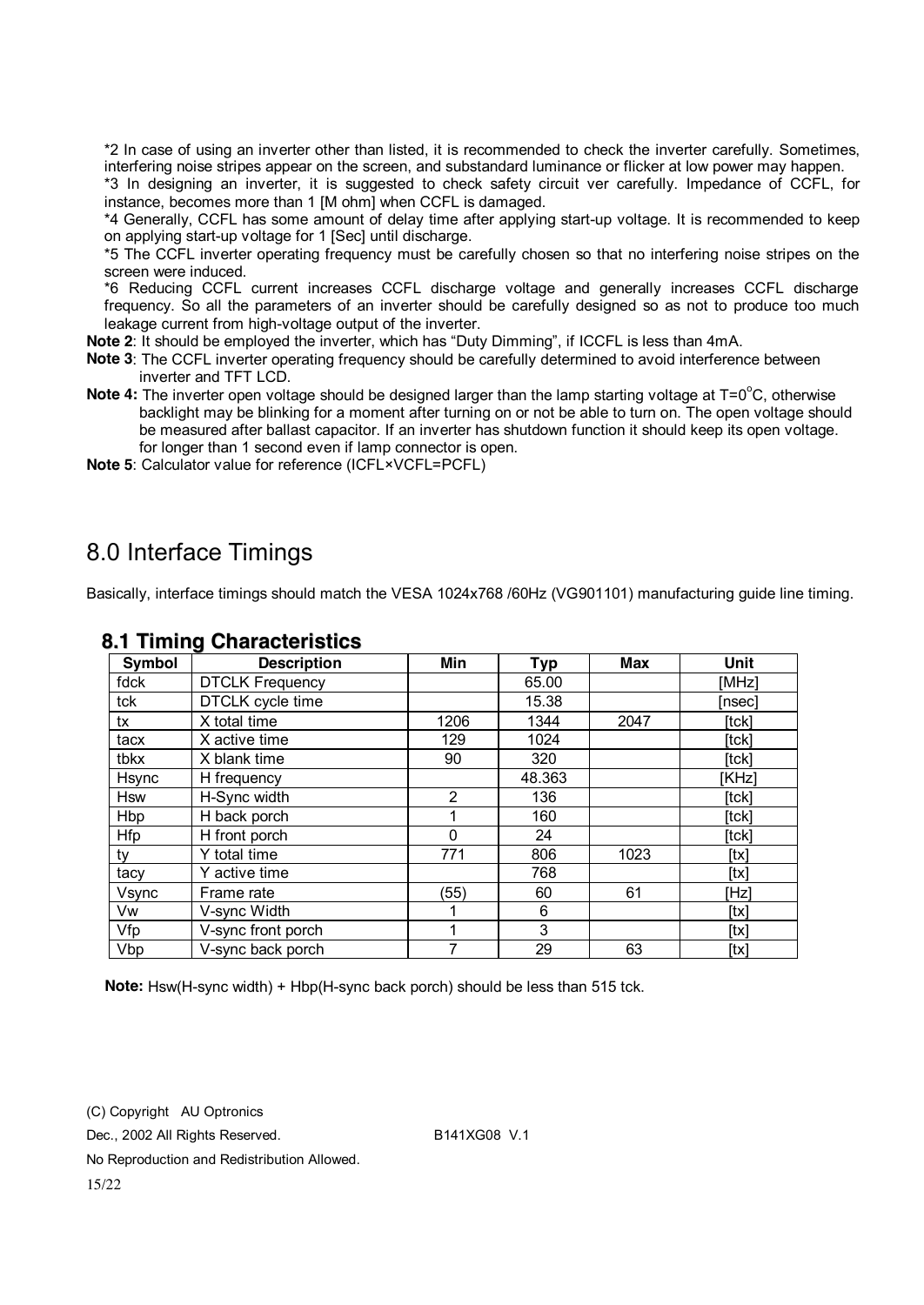\*2 In case of using an inverter other than listed, it is recommended to check the inverter carefully. Sometimes, interfering noise stripes appear on the screen, and substandard luminance or flicker at low power may happen.

\*3 In designing an inverter, it is suggested to check safety circuit ver carefully. Impedance of CCFL, for instance, becomes more than 1 [M ohm] when CCFL is damaged.

\*4 Generally, CCFL has some amount of delay time after applying start-up voltage. It is recommended to keep on applying start-up voltage for 1 [Sec] until discharge.

\*5 The CCFL inverter operating frequency must be carefully chosen so that no interfering noise stripes on the screen were induced.

\*6 Reducing CCFL current increases CCFL discharge voltage and generally increases CCFL discharge frequency. So all the parameters of an inverter should be carefully designed so as not to produce too much leakage current from high-voltage output of the inverter.

**Note 2**: It should be employed the inverter, which has "Duty Dimming", if ICCFL is less than 4mA.

- **Note 3**: The CCFL inverter operating frequency should be carefully determined to avoid interference between inverter and TFT LCD.
- Note 4: The inverter open voltage should be designed larger than the lamp starting voltage at T=0<sup>o</sup>C, otherwise backlight may be blinking for a moment after turning on or not be able to turn on. The open voltage should be measured after ballast capacitor. If an inverter has shutdown function it should keep its open voltage. for longer than 1 second even if lamp connector is open.
- **Note 5**: Calculator value for reference (ICFL×VCFL=PCFL)

### 8.0 Interface Timings

Basically, interface timings should match the VESA 1024x768 /60Hz (VG901101) manufacturing guide line timing.

| Symbol       | <b>Description</b>      | Min            | Typ    | Max  | Unit   |
|--------------|-------------------------|----------------|--------|------|--------|
| fdck         | <b>DTCLK Frequency</b>  |                | 65.00  |      | [MHz]  |
| tck          | <b>DTCLK</b> cycle time |                | 15.38  |      | [nsec] |
| tx           | X total time            | 1206           | 1344   | 2047 | [tck]  |
| tacx         | X active time           | 129            | 1024   |      | [tck]  |
| tbkx         | X blank time            | 90             | 320    |      | [tck]  |
| <b>Hsync</b> | H frequency             |                | 48.363 |      | [KHz]  |
| <b>Hsw</b>   | H-Sync width            | $\overline{2}$ | 136    |      | [tck]  |
| <b>Hbp</b>   | H back porch            |                | 160    |      | [tck]  |
| <b>Hfp</b>   | H front porch           | 0              | 24     |      | [tck]  |
| tv           | Y total time            | 771            | 806    | 1023 | [tx]   |
| tacy         | Y active time           |                | 768    |      | [tx]   |
| Vsync        | Frame rate              | (55)           | 60     | 61   | [Hz]   |
| Vw           | V-sync Width            |                | 6      |      | [tx]   |
| Vfp          | V-sync front porch      |                | 3      |      | [tx]   |
| Vbp          | V-sync back porch       | 7              | 29     | 63   | [tx]   |

#### **8.1 Timing Characteristics**

**Note:** Hsw(H-sync width) + Hbp(H-sync back porch) should be less than 515 tck.

(C) Copyright AU Optronics Dec., 2002 All Rights Reserved. B141XG08 V.1 No Reproduction and Redistribution Allowed. 15/22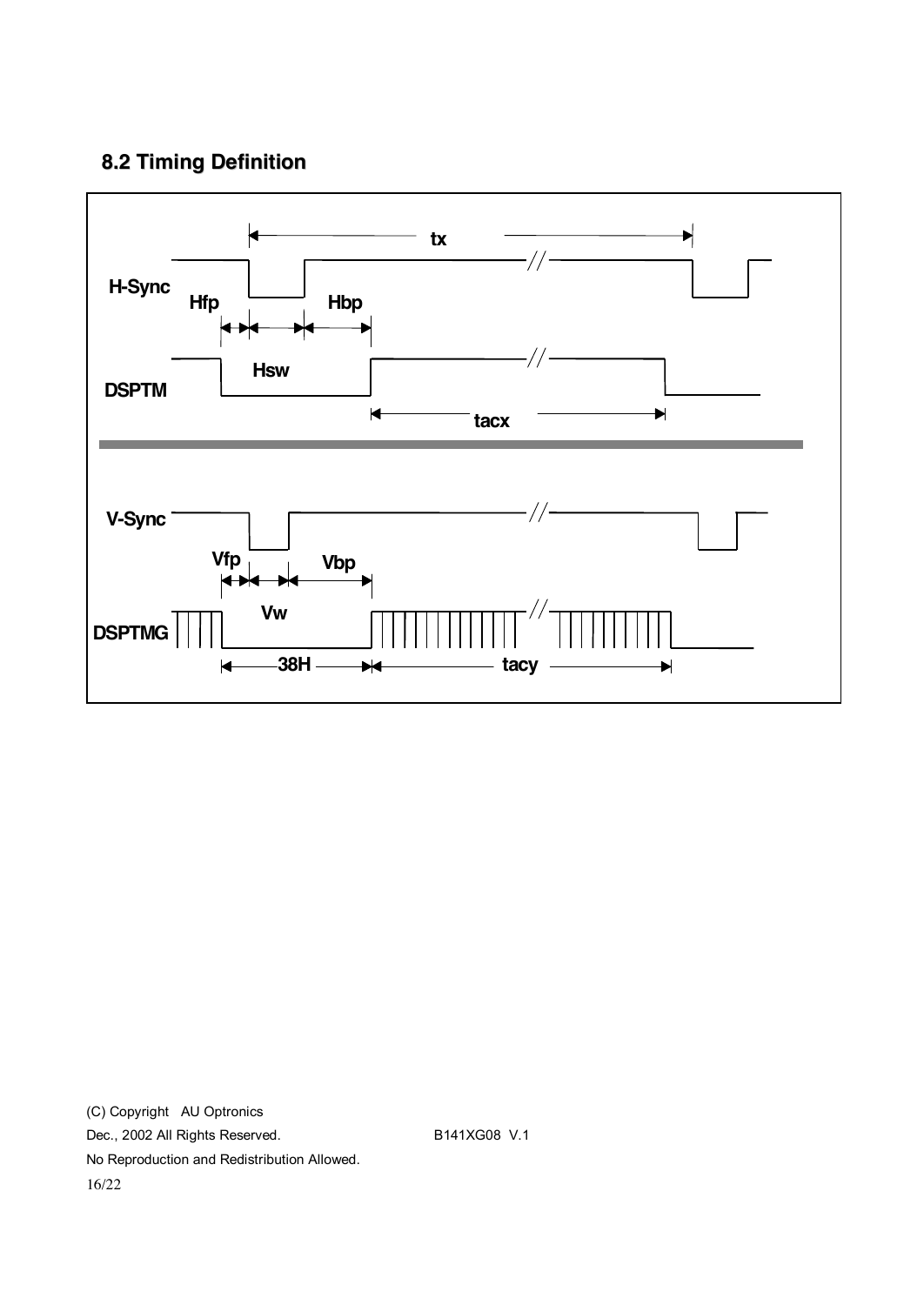### **8.2 Timing Definition**



(C) Copyright AU Optronics Dec., 2002 All Rights Reserved. B141XG08 V.1 No Reproduction and Redistribution Allowed. 16/22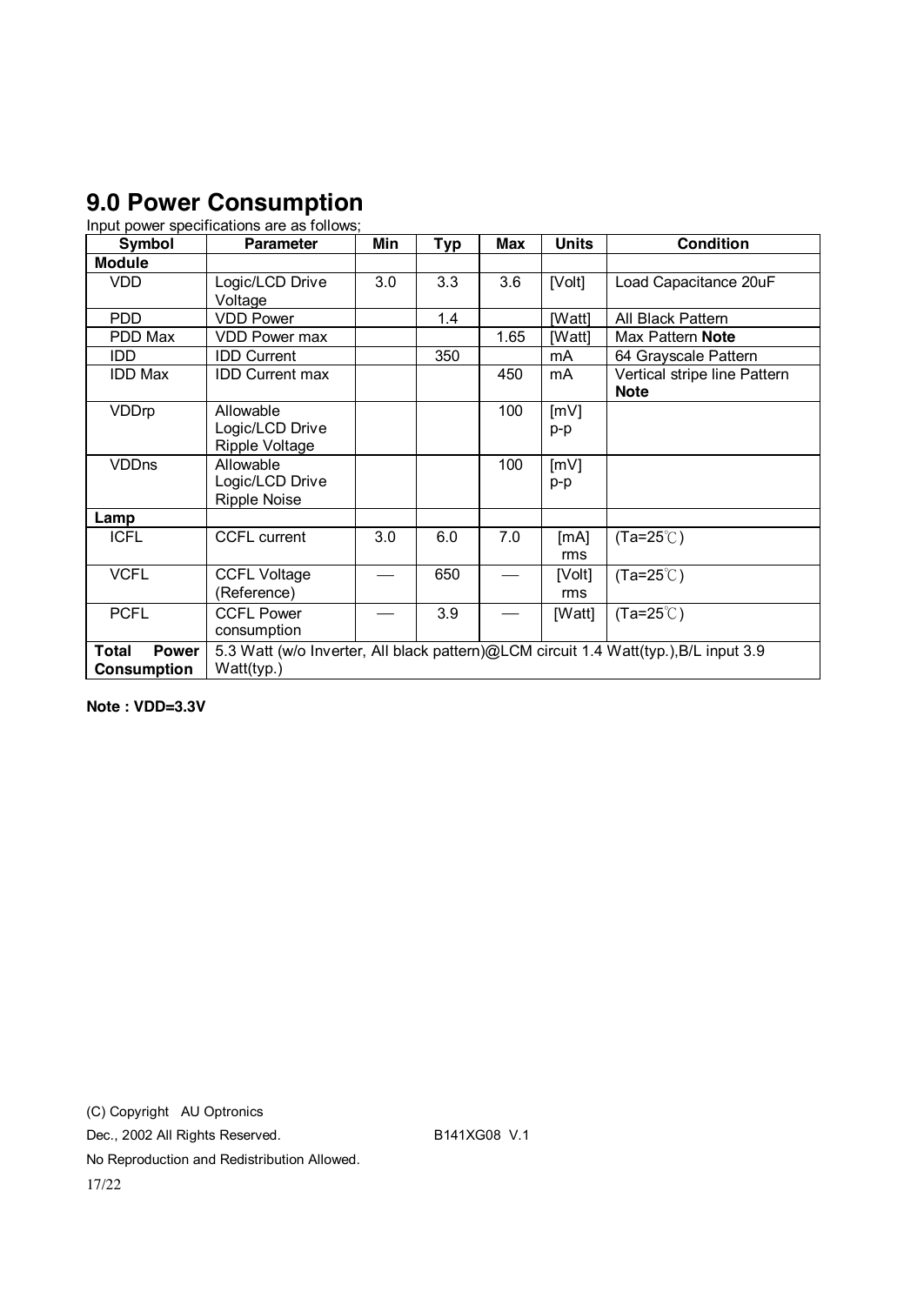### **9.0 Power Consumption**

Input power specifications are as follows;

| <b>Symbol</b>                               | <b>Parameter</b>                                                                                   | Min | <b>Typ</b> | <b>Max</b> | <b>Units</b>  | <b>Condition</b>                            |
|---------------------------------------------|----------------------------------------------------------------------------------------------------|-----|------------|------------|---------------|---------------------------------------------|
| <b>Module</b>                               |                                                                                                    |     |            |            |               |                                             |
| <b>VDD</b>                                  | Logic/LCD Drive<br>Voltage                                                                         | 3.0 | 3.3        | 3.6        | [Volt]        | Load Capacitance 20uF                       |
| <b>PDD</b>                                  | <b>VDD Power</b>                                                                                   |     | 1.4        |            | [Watt]        | All Black Pattern                           |
| PDD Max                                     | <b>VDD Power max</b>                                                                               |     |            | 1.65       | [Watt]        | Max Pattern Note                            |
| IDD                                         | <b>IDD Current</b>                                                                                 |     | 350        |            | mA            | 64 Grayscale Pattern                        |
| <b>IDD Max</b>                              | <b>IDD Current max</b>                                                                             |     |            | 450        | mA            | Vertical stripe line Pattern<br><b>Note</b> |
| VDDrp                                       | Allowable<br>Logic/LCD Drive<br>Ripple Voltage                                                     |     |            | 100        | [mV]<br>p-p   |                                             |
| <b>VDDns</b>                                | Allowable<br>Logic/LCD Drive<br><b>Ripple Noise</b>                                                |     |            | 100        | [mV]<br>p-p   |                                             |
| Lamp                                        |                                                                                                    |     |            |            |               |                                             |
| <b>ICFL</b>                                 | <b>CCFL current</b>                                                                                | 3.0 | 6.0        | 7.0        | [mA]<br>rms   | $(Ta=25^{\circ}C)$                          |
| <b>VCFL</b>                                 | <b>CCFL Voltage</b><br>(Reference)                                                                 |     | 650        |            | [Volt]<br>rms | $(Ta=25^{\circ}C)$                          |
| <b>PCFL</b>                                 | <b>CCFL Power</b><br>consumption                                                                   |     | 3.9        |            | [Watt]        | $(Ta=25^{\circ}C)$                          |
| <b>Power</b><br>Total<br><b>Consumption</b> | 5.3 Watt (w/o Inverter, All black pattern)@LCM circuit 1.4 Watt(typ.), B/L input 3.9<br>Watt(typ.) |     |            |            |               |                                             |

**Note : VDD=3.3V** 

(C) Copyright AU Optronics Dec., 2002 All Rights Reserved. B141XG08 V.1 No Reproduction and Redistribution Allowed. 17/22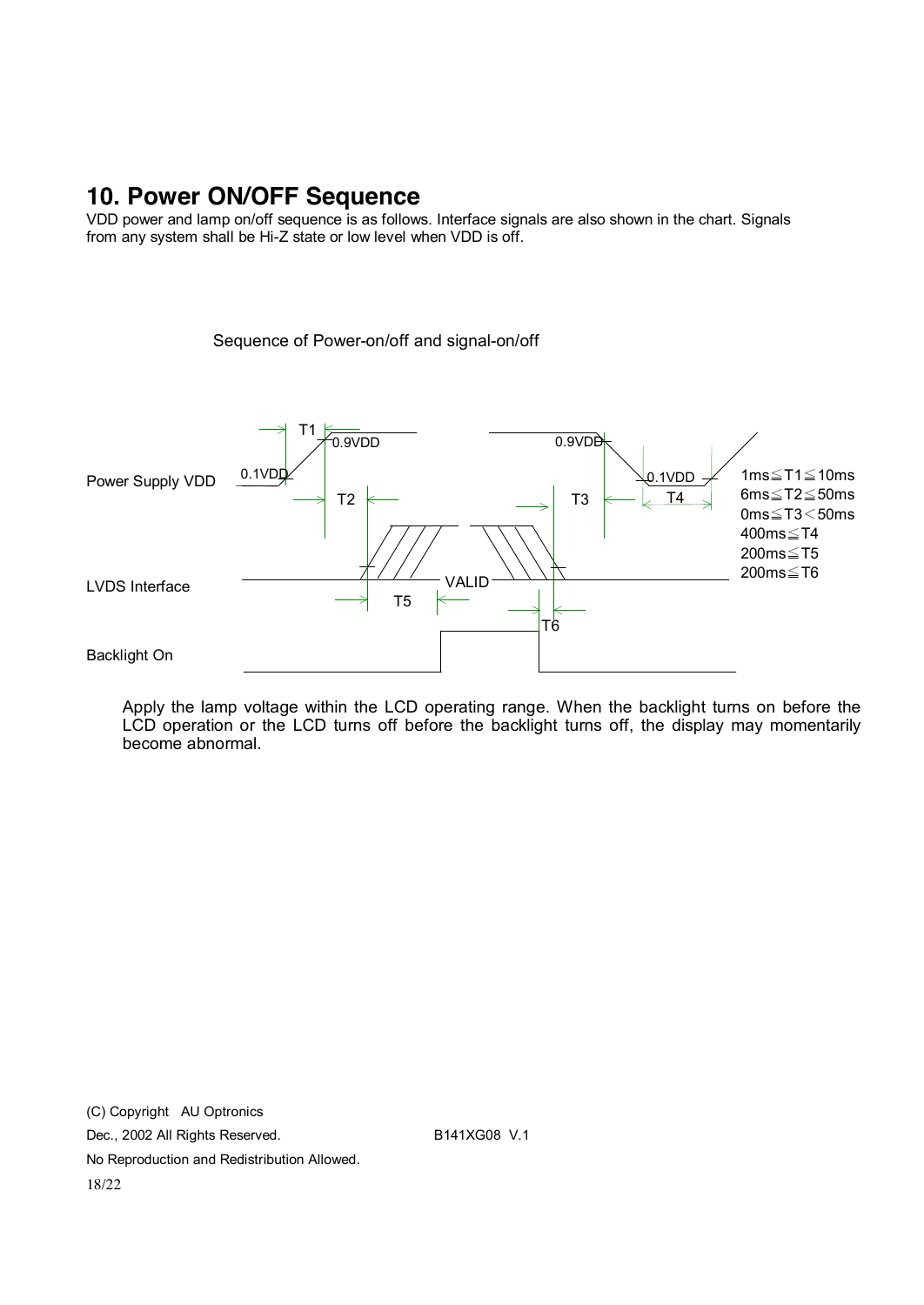### **10. Power ON/OFF Sequence**

VDD power and lamp on/off sequence is as follows. Interface signals are also shown in the chart. Signals from any system shall be Hi-Z state or low level when VDD is off.

Sequence of Power-on/off and signal-on/off



Apply the lamp voltage within the LCD operating range. When the backlight turns on before the LCD operation or the LCD turns off before the backlight turns off, the display may momentarily become abnormal.

(C) Copyright AU Optronics Dec., 2002 All Rights Reserved. B141XG08 V.1 No Reproduction and Redistribution Allowed. 18/22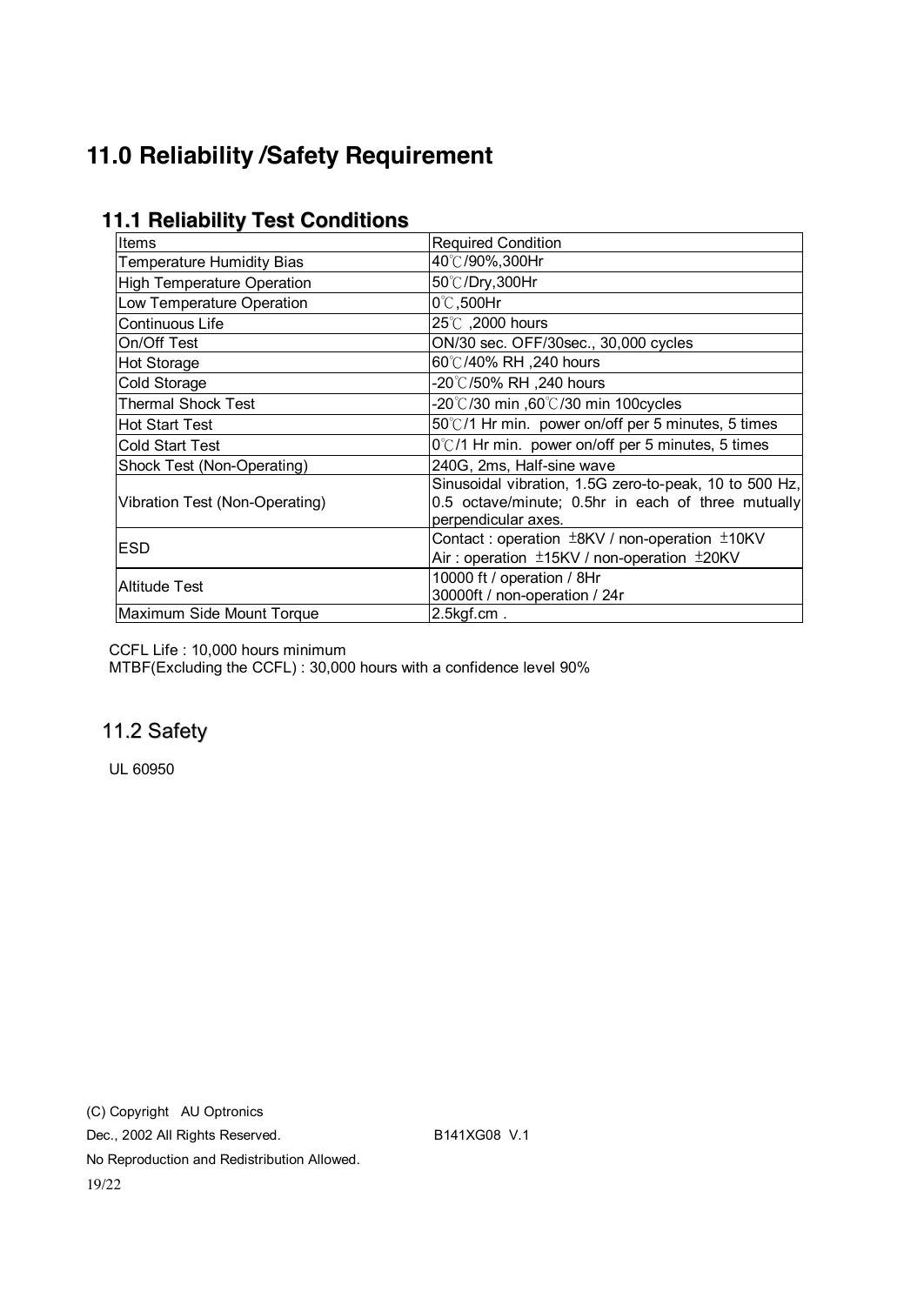## **11.0 Reliability /Safety Requirement**

| <b>Items</b>                     | <b>Required Condition</b>                                                                                                           |  |  |
|----------------------------------|-------------------------------------------------------------------------------------------------------------------------------------|--|--|
| <b>Temperature Humidity Bias</b> | 40℃/90%,300Hr                                                                                                                       |  |  |
| High Temperature Operation       | 50℃/Dry,300Hr                                                                                                                       |  |  |
| Low Temperature Operation        | $0^\circ\text{C}$ ,500Hr                                                                                                            |  |  |
| Continuous Life                  | 25°C, 2000 hours                                                                                                                    |  |  |
| On/Off Test                      | ON/30 sec. OFF/30sec., 30,000 cycles                                                                                                |  |  |
| <b>Hot Storage</b>               | 60℃/40% RH ,240 hours                                                                                                               |  |  |
| Cold Storage                     | -20℃/50% RH ,240 hours                                                                                                              |  |  |
| <b>Thermal Shock Test</b>        | -20°C/30 min ,60°C/30 min 100 cycles                                                                                                |  |  |
| Hot Start Test                   | 50°C/1 Hr min. power on/off per 5 minutes, 5 times                                                                                  |  |  |
| <b>Cold Start Test</b>           | $0^{\circ}$ C/1 Hr min. power on/off per 5 minutes, 5 times                                                                         |  |  |
| Shock Test (Non-Operating)       | 240G, 2ms, Half-sine wave                                                                                                           |  |  |
| Vibration Test (Non-Operating)   | Sinusoidal vibration, 1.5G zero-to-peak, 10 to 500 Hz,<br>0.5 octave/minute; 0.5hr in each of three mutually<br>perpendicular axes. |  |  |
| IESD                             | Contact: operation $\pm$ 8KV / non-operation $\pm$ 10KV<br>Air: operation ±15KV / non-operation ±20KV                               |  |  |
| Altitude Test                    | 10000 ft / operation / 8Hr<br>30000ft / non-operation / 24r                                                                         |  |  |
| Maximum Side Mount Torque        | $2.5$ kgf.cm.                                                                                                                       |  |  |

### **11.1 Reliability Test Conditions**

CCFL Life : 10,000 hours minimum

MTBF(Excluding the CCFL) : 30,000 hours with a confidence level 90%

### 11.2 Safety

UL 60950

(C) Copyright AU Optronics Dec., 2002 All Rights Reserved. B141XG08 V.1 No Reproduction and Redistribution Allowed. 19/22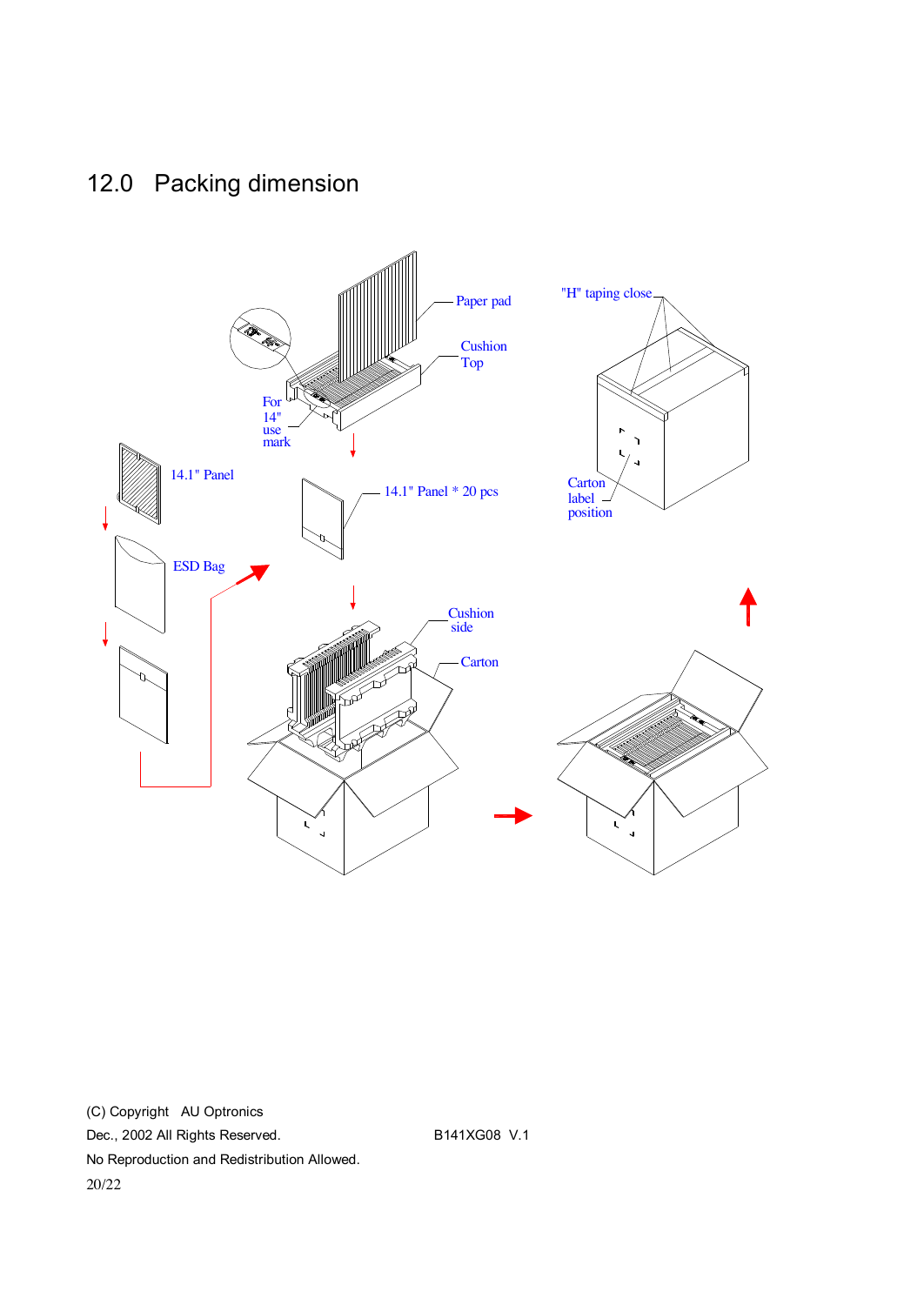# 12.0 Packing dimension



(C) Copyright AU Optronics Dec., 2002 All Rights Reserved. B141XG08 V.1 No Reproduction and Redistribution Allowed. 20/22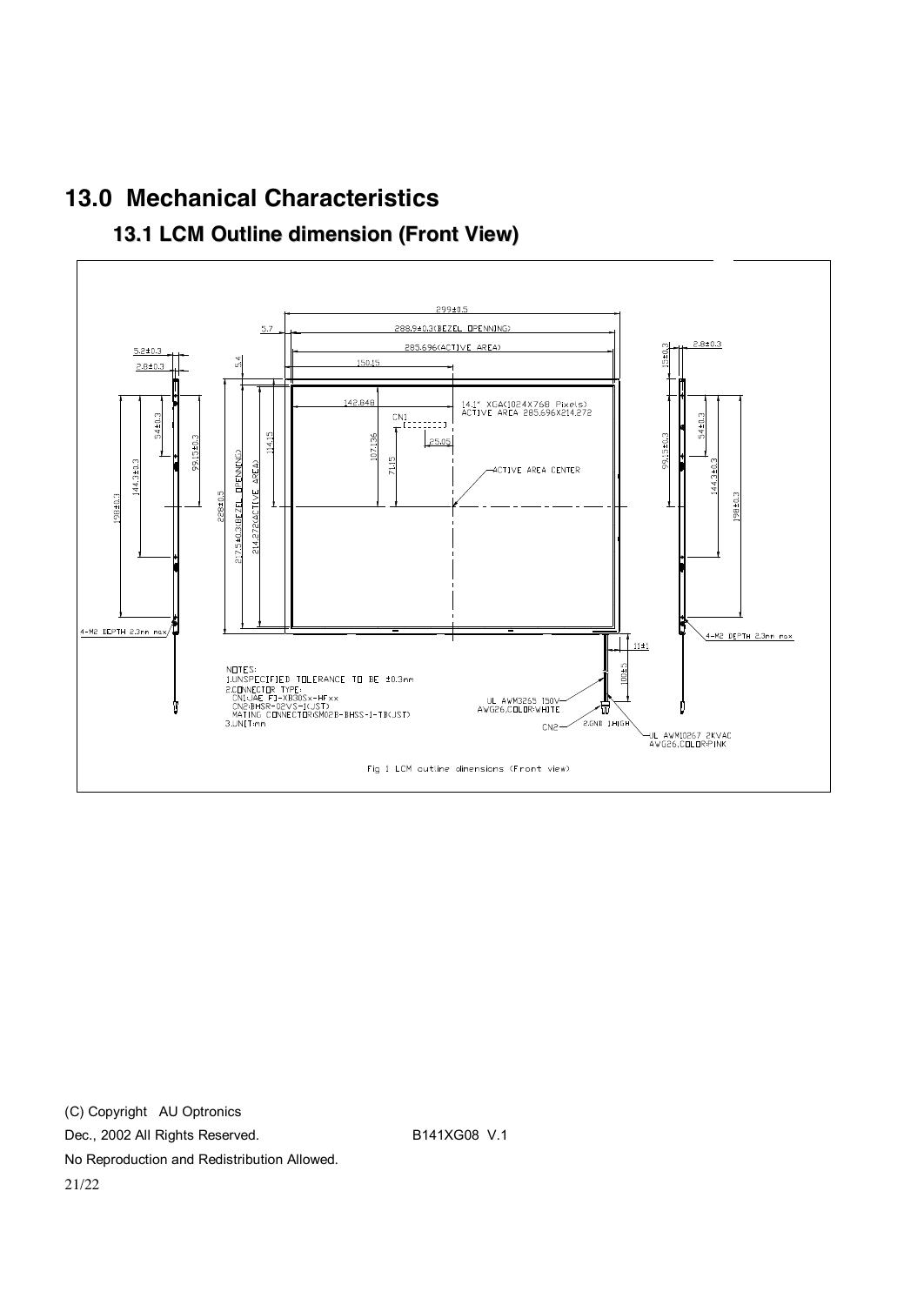

# **13.0 Mechanical Characteristics**

**13.1 LCM Outline dimension (Front View)**

(C) Copyright AU Optronics Dec., 2002 All Rights Reserved. B141XG08 V.1 No Reproduction and Redistribution Allowed. 21/22